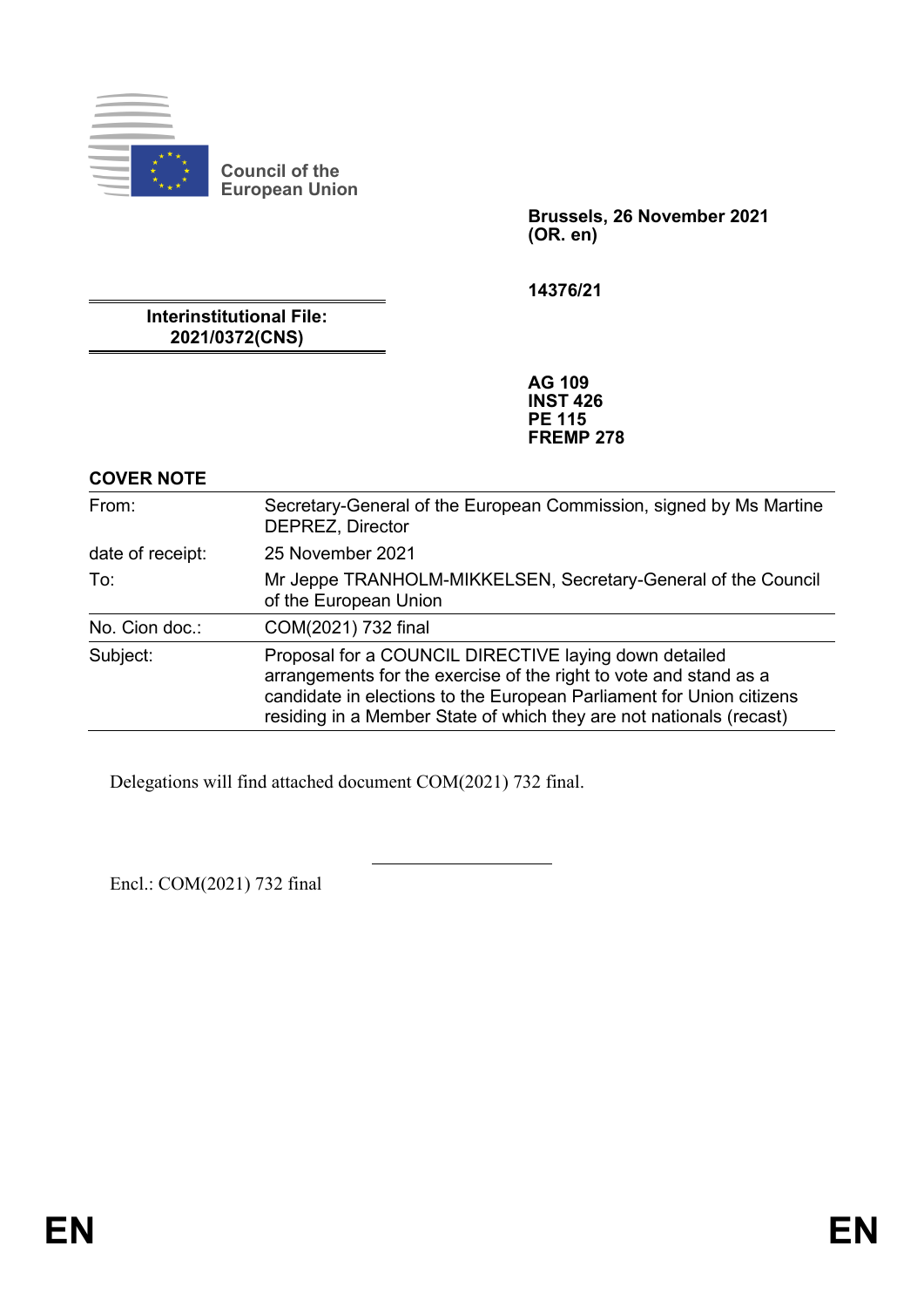

**Council of the European Union**

> **Brussels, 26 November 2021 (OR. en)**

**14376/21**

**Interinstitutional File: 2021/0372(CNS)**

> **AG 109 INST 426 PE 115 FREMP 278**

#### **COVER NOTE**

| From:            | Secretary-General of the European Commission, signed by Ms Martine<br>DEPREZ, Director                                                                                                                                                                                    |
|------------------|---------------------------------------------------------------------------------------------------------------------------------------------------------------------------------------------------------------------------------------------------------------------------|
| date of receipt: | 25 November 2021                                                                                                                                                                                                                                                          |
| To:              | Mr Jeppe TRANHOLM-MIKKELSEN, Secretary-General of the Council<br>of the European Union                                                                                                                                                                                    |
| No. Cion doc.:   | COM(2021) 732 final                                                                                                                                                                                                                                                       |
| Subject:         | Proposal for a COUNCIL DIRECTIVE laying down detailed<br>arrangements for the exercise of the right to vote and stand as a<br>candidate in elections to the European Parliament for Union citizens<br>residing in a Member State of which they are not nationals (recast) |

Delegations will find attached document COM(2021) 732 final.

Encl.: COM(2021) 732 final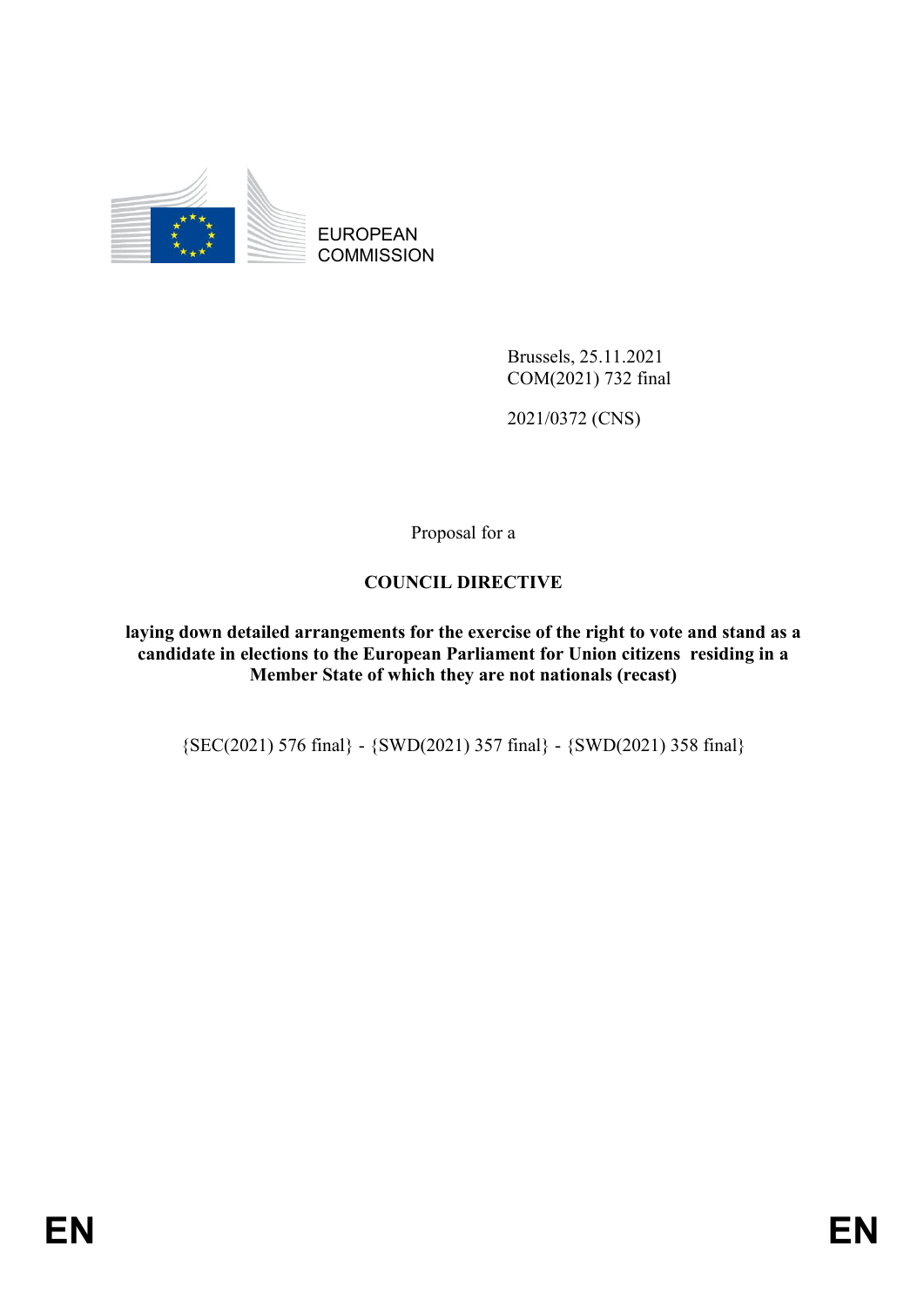

Brussels, 25.11.2021 COM(2021) 732 final

2021/0372 (CNS)

Proposal for a

### **COUNCIL DIRECTIVE**

**laying down detailed arrangements for the exercise of the right to vote and stand as a candidate in elections to the European Parliament for Union citizens residing in a Member State of which they are not nationals (recast)**

{SEC(2021) 576 final} - {SWD(2021) 357 final} - {SWD(2021) 358 final}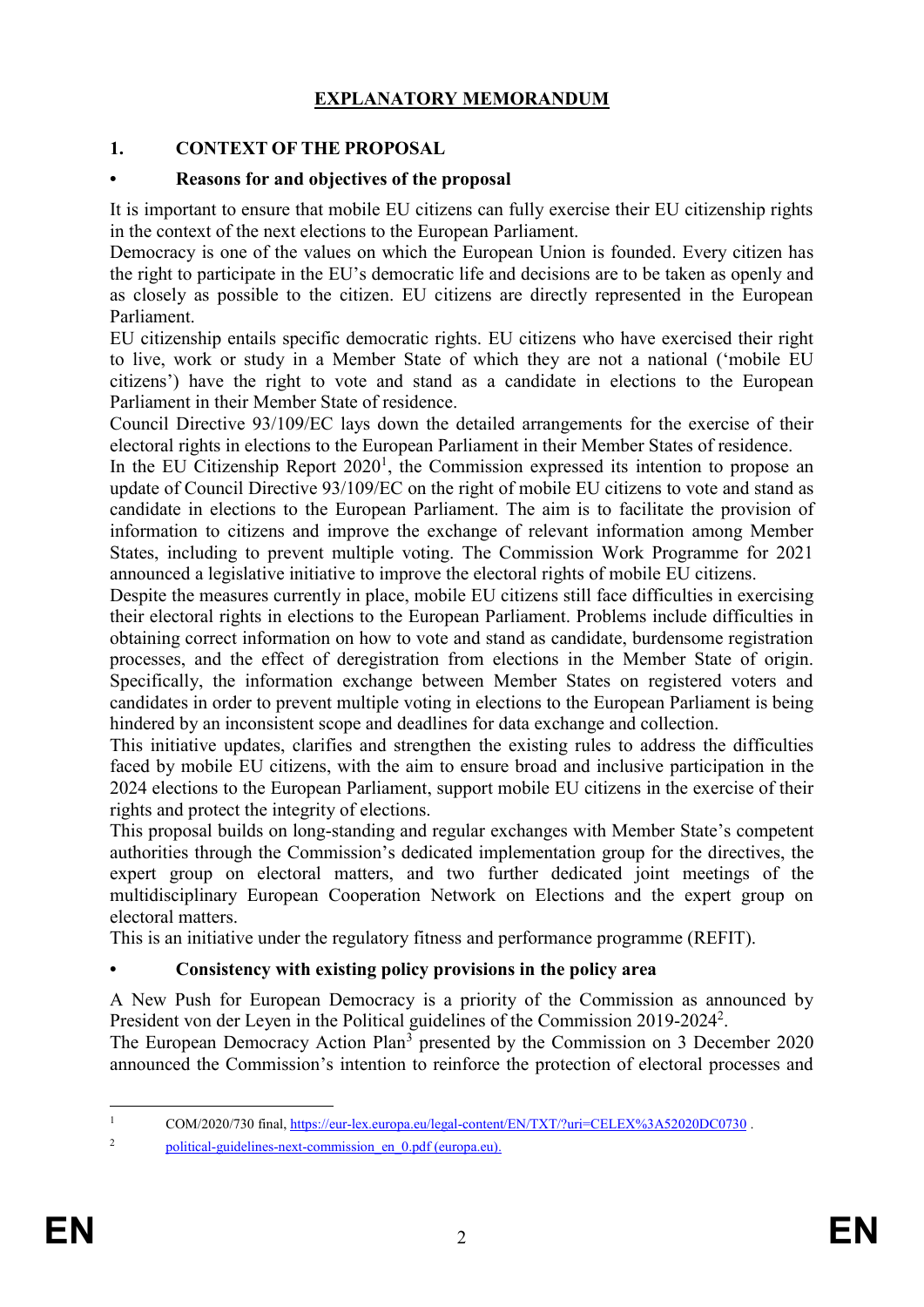# **EXPLANATORY MEMORANDUM**

### **1. CONTEXT OF THE PROPOSAL**

#### **• Reasons for and objectives of the proposal**

It is important to ensure that mobile EU citizens can fully exercise their EU citizenship rights in the context of the next elections to the European Parliament.

Democracy is one of the values on which the European Union is founded. Every citizen has the right to participate in the EU's democratic life and decisions are to be taken as openly and as closely as possible to the citizen. EU citizens are directly represented in the European Parliament.

EU citizenship entails specific democratic rights. EU citizens who have exercised their right to live, work or study in a Member State of which they are not a national ('mobile EU citizens') have the right to vote and stand as a candidate in elections to the European Parliament in their Member State of residence.

Council Directive 93/109/EC lays down the detailed arrangements for the exercise of their electoral rights in elections to the European Parliament in their Member States of residence.

In the EU Citizenship Report  $2020<sup>1</sup>$ , the Commission expressed its intention to propose an update of Council Directive 93/109/EC on the right of mobile EU citizens to vote and stand as candidate in elections to the European Parliament. The aim is to facilitate the provision of information to citizens and improve the exchange of relevant information among Member States, including to prevent multiple voting. The Commission Work Programme for 2021 announced a legislative initiative to improve the electoral rights of mobile EU citizens.

Despite the measures currently in place, mobile EU citizens still face difficulties in exercising their electoral rights in elections to the European Parliament. Problems include difficulties in obtaining correct information on how to vote and stand as candidate, burdensome registration processes, and the effect of deregistration from elections in the Member State of origin. Specifically, the information exchange between Member States on registered voters and candidates in order to prevent multiple voting in elections to the European Parliament is being hindered by an inconsistent scope and deadlines for data exchange and collection.

This initiative updates, clarifies and strengthen the existing rules to address the difficulties faced by mobile EU citizens, with the aim to ensure broad and inclusive participation in the 2024 elections to the European Parliament, support mobile EU citizens in the exercise of their rights and protect the integrity of elections.

This proposal builds on long-standing and regular exchanges with Member State's competent authorities through the Commission's dedicated implementation group for the directives, the expert group on electoral matters, and two further dedicated joint meetings of the multidisciplinary European Cooperation Network on Elections and the expert group on electoral matters.

This is an initiative under the regulatory fitness and performance programme (REFIT).

#### **• Consistency with existing policy provisions in the policy area**

A New Push for European Democracy is a priority of the Commission as announced by President von der Leyen in the Political guidelines of the Commission 2019-2024<sup>2</sup>.

The European Democracy Action Plan<sup>3</sup> presented by the Commission on 3 December 2020 announced the Commission's intention to reinforce the protection of electoral processes and

 $\mathbf{1}$ <sup>1</sup> COM/2020/730 final,<https://eur-lex.europa.eu/legal-content/EN/TXT/?uri=CELEX%3A52020DC0730> .

<sup>2</sup> [political-guidelines-next-commission\\_en\\_0.pdf \(europa.eu\).](https://ec.europa.eu/info/sites/default/files/political-guidelines-next-commission_en_0.pdf)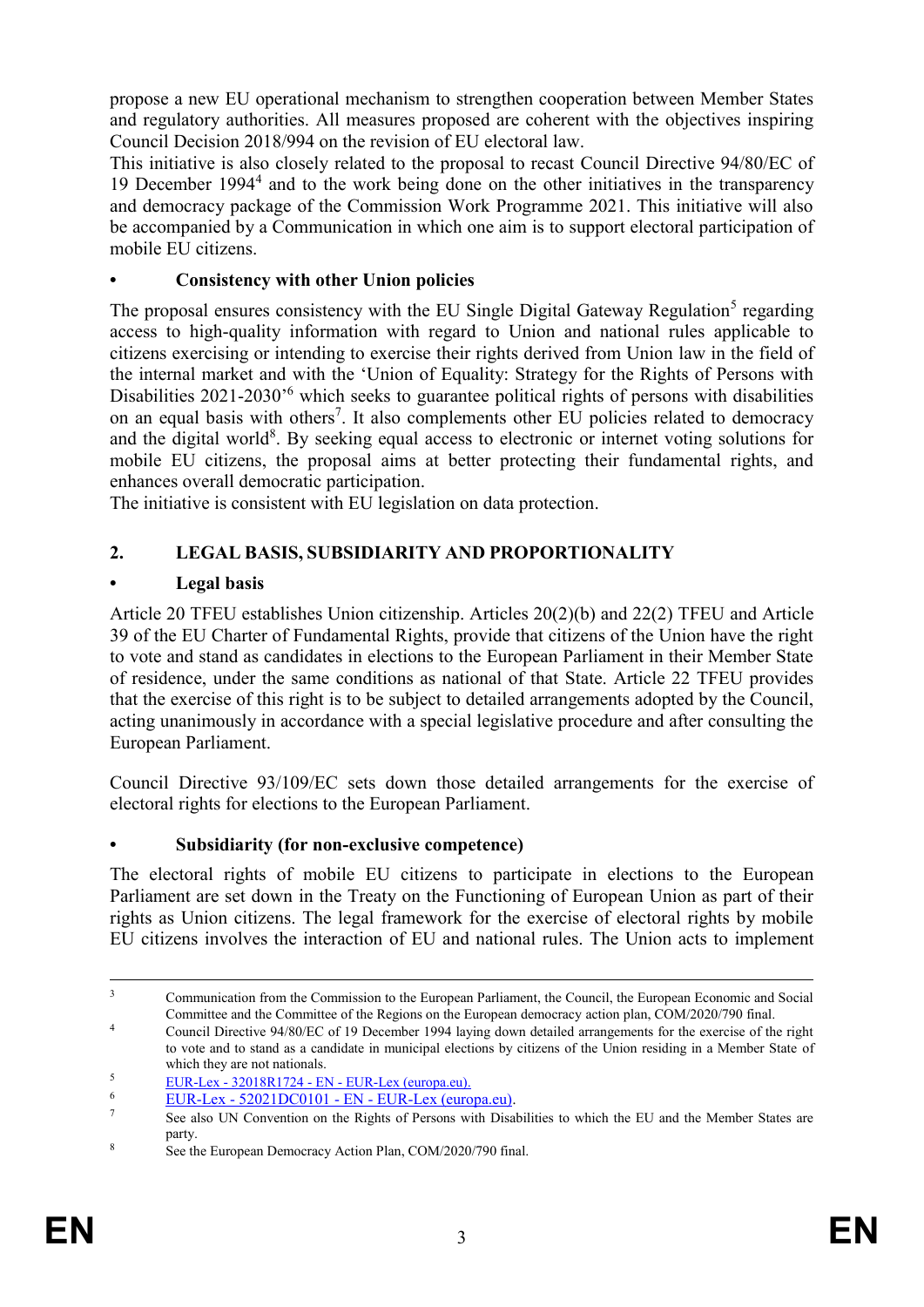propose a new EU operational mechanism to strengthen cooperation between Member States and regulatory authorities. All measures proposed are coherent with the objectives inspiring Council Decision 2018/994 on the revision of EU electoral law.

This initiative is also closely related to the proposal to recast Council Directive 94/80/EC of 19 December 1994<sup>4</sup> and to the work being done on the other initiatives in the transparency and democracy package of the Commission Work Programme 2021. This initiative will also be accompanied by a Communication in which one aim is to support electoral participation of mobile EU citizens.

## **• Consistency with other Union policies**

The proposal ensures consistency with the EU Single Digital Gateway Regulation<sup>5</sup> regarding access to high-quality information with regard to Union and national rules applicable to citizens exercising or intending to exercise their rights derived from Union law in the field of the internal market and with the 'Union of Equality: Strategy for the Rights of Persons with Disabilities 2021-2030'<sup>6</sup> which seeks to guarantee political rights of persons with disabilities on an equal basis with others<sup>7</sup>. It also complements other EU policies related to democracy and the digital world<sup>8</sup>. By seeking equal access to electronic or internet voting solutions for mobile EU citizens, the proposal aims at better protecting their fundamental rights, and enhances overall democratic participation.

The initiative is consistent with EU legislation on data protection.

# **2. LEGAL BASIS, SUBSIDIARITY AND PROPORTIONALITY**

# **• Legal basis**

Article 20 TFEU establishes Union citizenship. Articles 20(2)(b) and 22(2) TFEU and Article 39 of the EU Charter of Fundamental Rights, provide that citizens of the Union have the right to vote and stand as candidates in elections to the European Parliament in their Member State of residence, under the same conditions as national of that State. Article 22 TFEU provides that the exercise of this right is to be subject to detailed arrangements adopted by the Council, acting unanimously in accordance with a special legislative procedure and after consulting the European Parliament.

Council Directive 93/109/EC sets down those detailed arrangements for the exercise of electoral rights for elections to the European Parliament.

# **• Subsidiarity (for non-exclusive competence)**

The electoral rights of mobile EU citizens to participate in elections to the European Parliament are set down in the Treaty on the Functioning of European Union as part of their rights as Union citizens. The legal framework for the exercise of electoral rights by mobile EU citizens involves the interaction of EU and national rules. The Union acts to implement

 $\overline{\mathbf{3}}$ <sup>3</sup> Communication from the Commission to the European Parliament, the Council, the European Economic and Social Committee and the Committee of the Regions on the European democracy action plan, COM/2020/790 final.

<sup>&</sup>lt;sup>4</sup> Council Directive 94/80/EC of 19 December 1994 laying down detailed arrangements for the exercise of the right to vote and to stand as a candidate in municipal elections by citizens of the Union residing in a Member State of which they are not nationals.

 $\frac{5}{2001}$  EUR-Lex - 32018R1724 - EN - [EUR-Lex \(europa.eu\).](https://eur-lex.europa.eu/legal-content/EN/TXT/?uri=CELEX:32018R1724)

 $\frac{6}{7}$  EUR-Lex - 52021DC0101 - EN - [EUR-Lex \(europa.eu\).](https://eur-lex.europa.eu/legal-content/EN/TXT/?uri=COM%3A2021%3A101%3AFIN)

<sup>7</sup> See also UN Convention on the Rights of Persons with Disabilities to which the EU and the Member States are party.

<sup>8</sup> See the European Democracy Action Plan, COM/2020/790 final.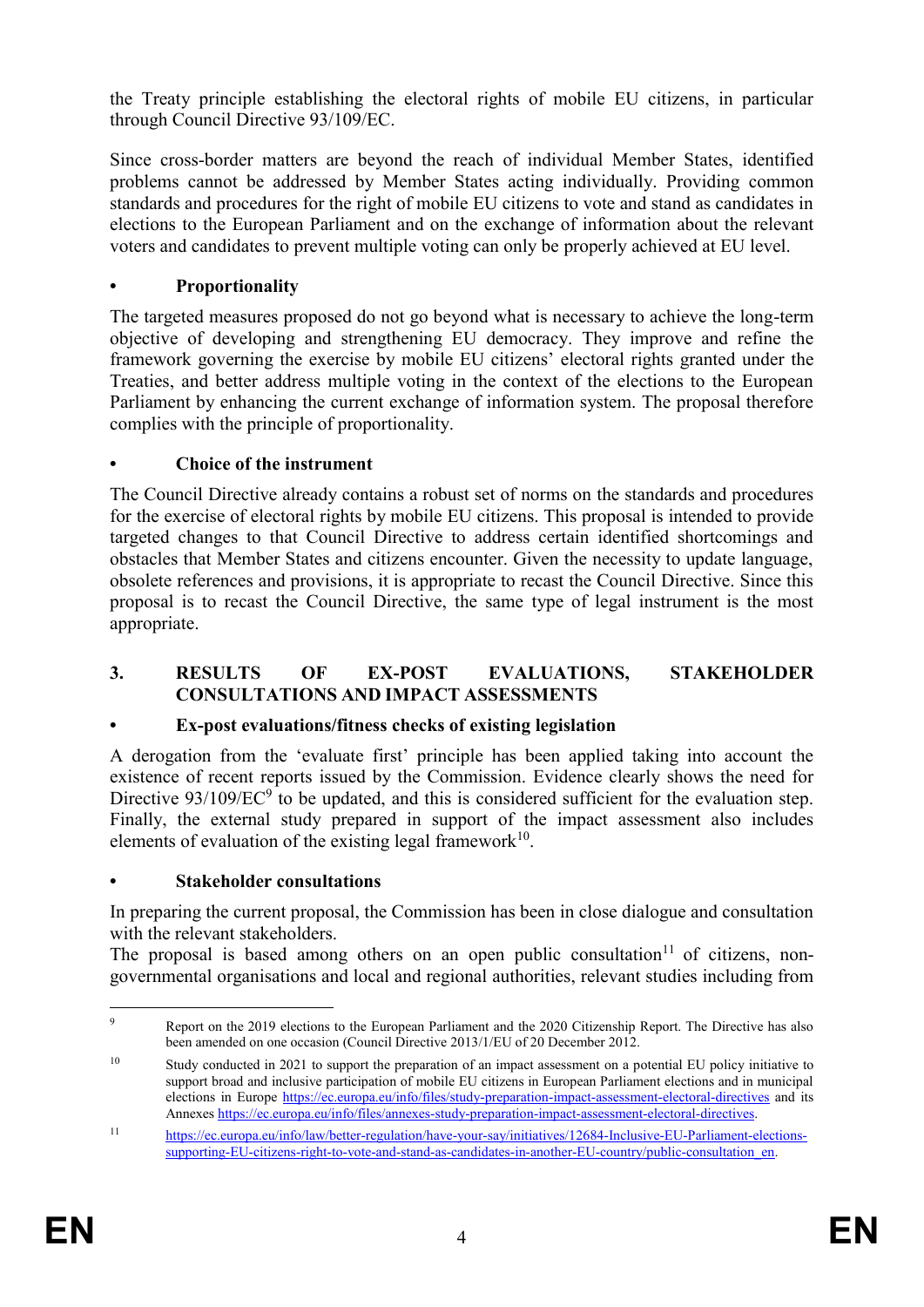the Treaty principle establishing the electoral rights of mobile EU citizens, in particular through Council Directive 93/109/EC.

Since cross-border matters are beyond the reach of individual Member States, identified problems cannot be addressed by Member States acting individually. Providing common standards and procedures for the right of mobile EU citizens to vote and stand as candidates in elections to the European Parliament and on the exchange of information about the relevant voters and candidates to prevent multiple voting can only be properly achieved at EU level.

### **• Proportionality**

The targeted measures proposed do not go beyond what is necessary to achieve the long-term objective of developing and strengthening EU democracy. They improve and refine the framework governing the exercise by mobile EU citizens' electoral rights granted under the Treaties, and better address multiple voting in the context of the elections to the European Parliament by enhancing the current exchange of information system. The proposal therefore complies with the principle of proportionality.

### **• Choice of the instrument**

The Council Directive already contains a robust set of norms on the standards and procedures for the exercise of electoral rights by mobile EU citizens. This proposal is intended to provide targeted changes to that Council Directive to address certain identified shortcomings and obstacles that Member States and citizens encounter. Given the necessity to update language, obsolete references and provisions, it is appropriate to recast the Council Directive. Since this proposal is to recast the Council Directive, the same type of legal instrument is the most appropriate.

#### **3. RESULTS OF EX-POST EVALUATIONS, STAKEHOLDER CONSULTATIONS AND IMPACT ASSESSMENTS**

#### **• Ex-post evaluations/fitness checks of existing legislation**

A derogation from the 'evaluate first' principle has been applied taking into account the existence of recent reports issued by the Commission. Evidence clearly shows the need for Directive  $93/109/EC^9$  to be updated, and this is considered sufficient for the evaluation step. Finally, the external study prepared in support of the impact assessment also includes elements of evaluation of the existing legal framework $10$ .

#### **• Stakeholder consultations**

In preparing the current proposal, the Commission has been in close dialogue and consultation with the relevant stakeholders.

The proposal is based among others on an open public consultation<sup>11</sup> of citizens, nongovernmental organisations and local and regional authorities, relevant studies including from

 $\overline{Q}$ <sup>9</sup> Report on the 2019 elections to the European Parliament and the 2020 Citizenship Report. The Directive has also been amended on one occasion (Council Directive 2013/1/EU of 20 December 2012.

<sup>&</sup>lt;sup>10</sup> Study conducted in 2021 to support the preparation of an impact assessment on a potential EU policy initiative to support broad and inclusive participation of mobile EU citizens in European Parliament elections and in municipal elections in Europe<https://ec.europa.eu/info/files/study-preparation-impact-assessment-electoral-directives> and its Annexe[s https://ec.europa.eu/info/files/annexes-study-preparation-impact-assessment-electoral-directives.](https://ec.europa.eu/info/files/annexes-study-preparation-impact-assessment-electoral-directives)

<sup>11</sup> [https://ec.europa.eu/info/law/better-regulation/have-your-say/initiatives/12684-Inclusive-EU-Parliament-elections](https://ec.europa.eu/info/law/better-regulation/have-your-say/initiatives/12684-Inclusive-EU-Parliament-elections-supporting-EU-citizens-right-to-vote-and-stand-as-candidates-in-another-EU-country/public-consultation_en)[supporting-EU-citizens-right-to-vote-and-stand-as-candidates-in-another-EU-country/public-consultation\\_en.](https://ec.europa.eu/info/law/better-regulation/have-your-say/initiatives/12684-Inclusive-EU-Parliament-elections-supporting-EU-citizens-right-to-vote-and-stand-as-candidates-in-another-EU-country/public-consultation_en)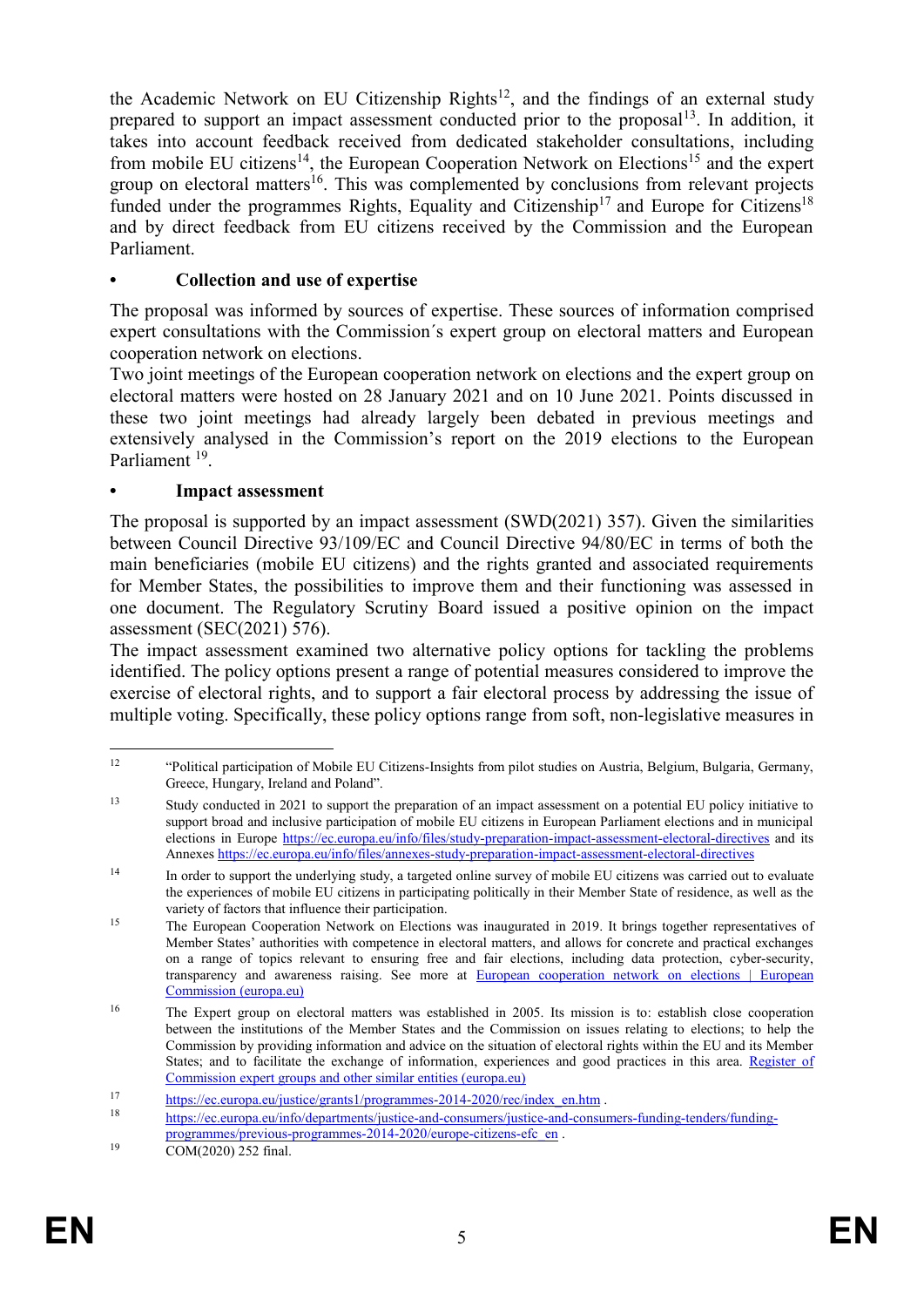the Academic Network on EU Citizenship Rights $12$ , and the findings of an external study prepared to support an impact assessment conducted prior to the proposal $13$ . In addition, it takes into account feedback received from dedicated stakeholder consultations, including from mobile EU citizens<sup>14</sup>, the European Cooperation Network on Elections<sup>15</sup> and the expert group on electoral matters<sup>16</sup>. This was complemented by conclusions from relevant projects funded under the programmes Rights, Equality and Citizenship<sup>17</sup> and Europe for Citizens<sup>18</sup> and by direct feedback from EU citizens received by the Commission and the European Parliament.

### **• Collection and use of expertise**

The proposal was informed by sources of expertise. These sources of information comprised expert consultations with the Commission´s expert group on electoral matters and European cooperation network on elections.

Two joint meetings of the European cooperation network on elections and the expert group on electoral matters were hosted on 28 January 2021 and on 10 June 2021. Points discussed in these two joint meetings had already largely been debated in previous meetings and extensively analysed in the Commission's report on the 2019 elections to the European Parliament<sup>19</sup>.

#### **• Impact assessment**

The proposal is supported by an impact assessment (SWD(2021) 357). Given the similarities between Council Directive 93/109/EC and Council Directive 94/80/EC in terms of both the main beneficiaries (mobile EU citizens) and the rights granted and associated requirements for Member States, the possibilities to improve them and their functioning was assessed in one document. The Regulatory Scrutiny Board issued a positive opinion on the impact assessment (SEC(2021) 576).

The impact assessment examined two alternative policy options for tackling the problems identified. The policy options present a range of potential measures considered to improve the exercise of electoral rights, and to support a fair electoral process by addressing the issue of multiple voting. Specifically, these policy options range from soft, non-legislative measures in

 $12$ <sup>12</sup> "Political participation of Mobile EU Citizens-Insights from pilot studies on Austria, Belgium, Bulgaria, Germany, Greece, Hungary, Ireland and Poland".

<sup>&</sup>lt;sup>13</sup> Study conducted in 2021 to support the preparation of an impact assessment on a potential EU policy initiative to support broad and inclusive participation of mobile EU citizens in European Parliament elections and in municipal elections in Europe<https://ec.europa.eu/info/files/study-preparation-impact-assessment-electoral-directives> and its Annexe[s https://ec.europa.eu/info/files/annexes-study-preparation-impact-assessment-electoral-directives](https://ec.europa.eu/info/files/annexes-study-preparation-impact-assessment-electoral-directives)

<sup>&</sup>lt;sup>14</sup> In order to support the underlying study, a targeted online survey of mobile EU citizens was carried out to evaluate the experiences of mobile EU citizens in participating politically in their Member State of residence, as well as the variety of factors that influence their participation.

<sup>&</sup>lt;sup>15</sup> The European Cooperation Network on Elections was inaugurated in 2019. It brings together representatives of Member States' authorities with competence in electoral matters, and allows for concrete and practical exchanges on a range of topics relevant to ensuring free and fair elections, including data protection, cyber-security, transparency and awareness raising. See more at [European cooperation network on elections | European](https://ec.europa.eu/info/policies/justice-and-fundamental-rights/eu-citizenship/electoral-rights/european-cooperation-network-elections_en#meetings)  [Commission \(europa.eu\)](https://ec.europa.eu/info/policies/justice-and-fundamental-rights/eu-citizenship/electoral-rights/european-cooperation-network-elections_en#meetings)

<sup>16</sup> The Expert group on electoral matters was established in 2005. Its mission is to: establish close cooperation between the institutions of the Member States and the Commission on issues relating to elections; to help the Commission by providing information and advice on the situation of electoral rights within the EU and its Member States; and to facilitate the exchange of information, experiences and good practices in this area. [Register of](https://ec.europa.eu/transparency/expert-groups-register/screen/expert-groups/consult?do=groupDetail.groupDetail&groupID=617)  [Commission expert groups and other similar entities \(europa.eu\)](https://ec.europa.eu/transparency/expert-groups-register/screen/expert-groups/consult?do=groupDetail.groupDetail&groupID=617)

<sup>&</sup>lt;sup>17</sup> [https://ec.europa.eu/justice/grants1/programmes-2014-2020/rec/index\\_en.htm](https://ec.europa.eu/justice/grants1/programmes-2014-2020/rec/index_en.htm) .<br><sup>18</sup> https://ec.europa.eu/justic/departments/justice.org/energy/justice.org/energy

<sup>18</sup> [https://ec.europa.eu/info/departments/justice-and-consumers/justice-and-consumers-funding-tenders/funding](https://ec.europa.eu/info/departments/justice-and-consumers/justice-and-consumers-funding-tenders/funding-programmes/previous-programmes-2014-2020/europe-citizens-efc_en)[programmes/previous-programmes-2014-2020/europe-citizens-efc\\_en](https://ec.europa.eu/info/departments/justice-and-consumers/justice-and-consumers-funding-tenders/funding-programmes/previous-programmes-2014-2020/europe-citizens-efc_en) .

<sup>19</sup> COM(2020) 252 final.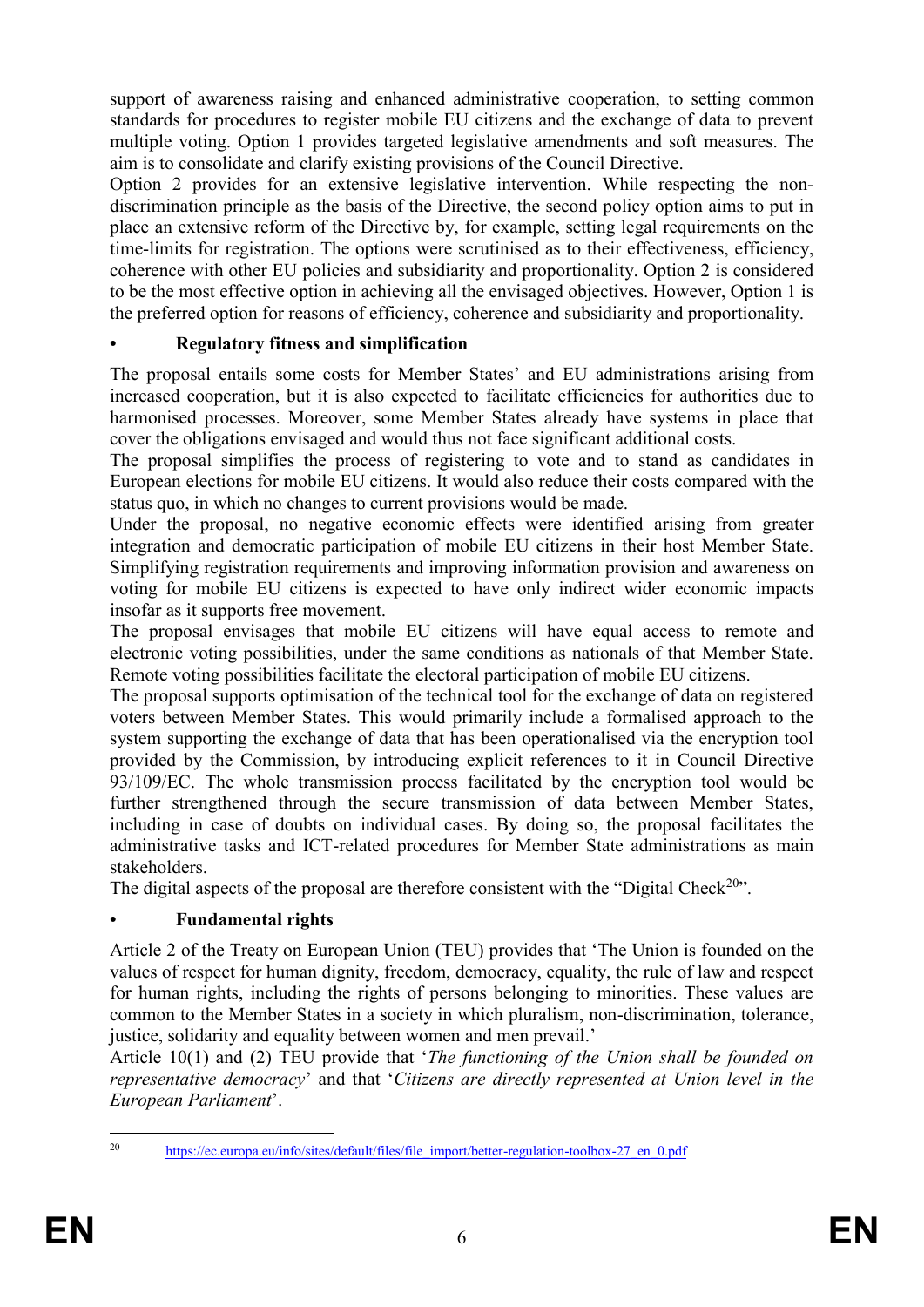support of awareness raising and enhanced administrative cooperation, to setting common standards for procedures to register mobile EU citizens and the exchange of data to prevent multiple voting. Option 1 provides targeted legislative amendments and soft measures. The aim is to consolidate and clarify existing provisions of the Council Directive.

Option 2 provides for an extensive legislative intervention. While respecting the nondiscrimination principle as the basis of the Directive, the second policy option aims to put in place an extensive reform of the Directive by, for example, setting legal requirements on the time-limits for registration. The options were scrutinised as to their effectiveness, efficiency, coherence with other EU policies and subsidiarity and proportionality. Option 2 is considered to be the most effective option in achieving all the envisaged objectives. However, Option 1 is the preferred option for reasons of efficiency, coherence and subsidiarity and proportionality.

# **• Regulatory fitness and simplification**

The proposal entails some costs for Member States' and EU administrations arising from increased cooperation, but it is also expected to facilitate efficiencies for authorities due to harmonised processes. Moreover, some Member States already have systems in place that cover the obligations envisaged and would thus not face significant additional costs.

The proposal simplifies the process of registering to vote and to stand as candidates in European elections for mobile EU citizens. It would also reduce their costs compared with the status quo, in which no changes to current provisions would be made.

Under the proposal, no negative economic effects were identified arising from greater integration and democratic participation of mobile EU citizens in their host Member State. Simplifying registration requirements and improving information provision and awareness on voting for mobile EU citizens is expected to have only indirect wider economic impacts insofar as it supports free movement.

The proposal envisages that mobile EU citizens will have equal access to remote and electronic voting possibilities, under the same conditions as nationals of that Member State. Remote voting possibilities facilitate the electoral participation of mobile EU citizens.

The proposal supports optimisation of the technical tool for the exchange of data on registered voters between Member States. This would primarily include a formalised approach to the system supporting the exchange of data that has been operationalised via the encryption tool provided by the Commission, by introducing explicit references to it in Council Directive 93/109/EC. The whole transmission process facilitated by the encryption tool would be further strengthened through the secure transmission of data between Member States, including in case of doubts on individual cases. By doing so, the proposal facilitates the administrative tasks and ICT-related procedures for Member State administrations as main stakeholders.

The digital aspects of the proposal are therefore consistent with the "Digital Check<sup>20</sup>".

# **• Fundamental rights**

Article 2 of the Treaty on European Union (TEU) provides that 'The Union is founded on the values of respect for human dignity, freedom, democracy, equality, the rule of law and respect for human rights, including the rights of persons belonging to minorities. These values are common to the Member States in a society in which pluralism, non-discrimination, tolerance, justice, solidarity and equality between women and men prevail.'

Article 10(1) and (2) TEU provide that '*The functioning of the Union shall be founded on representative democracy*' and that '*Citizens are directly represented at Union level in the European Parliament*'.

 $20\degree$ [https://ec.europa.eu/info/sites/default/files/file\\_import/better-regulation-toolbox-27\\_en\\_0.pdf](https://ec.europa.eu/info/sites/default/files/file_import/better-regulation-toolbox-27_en_0.pdf)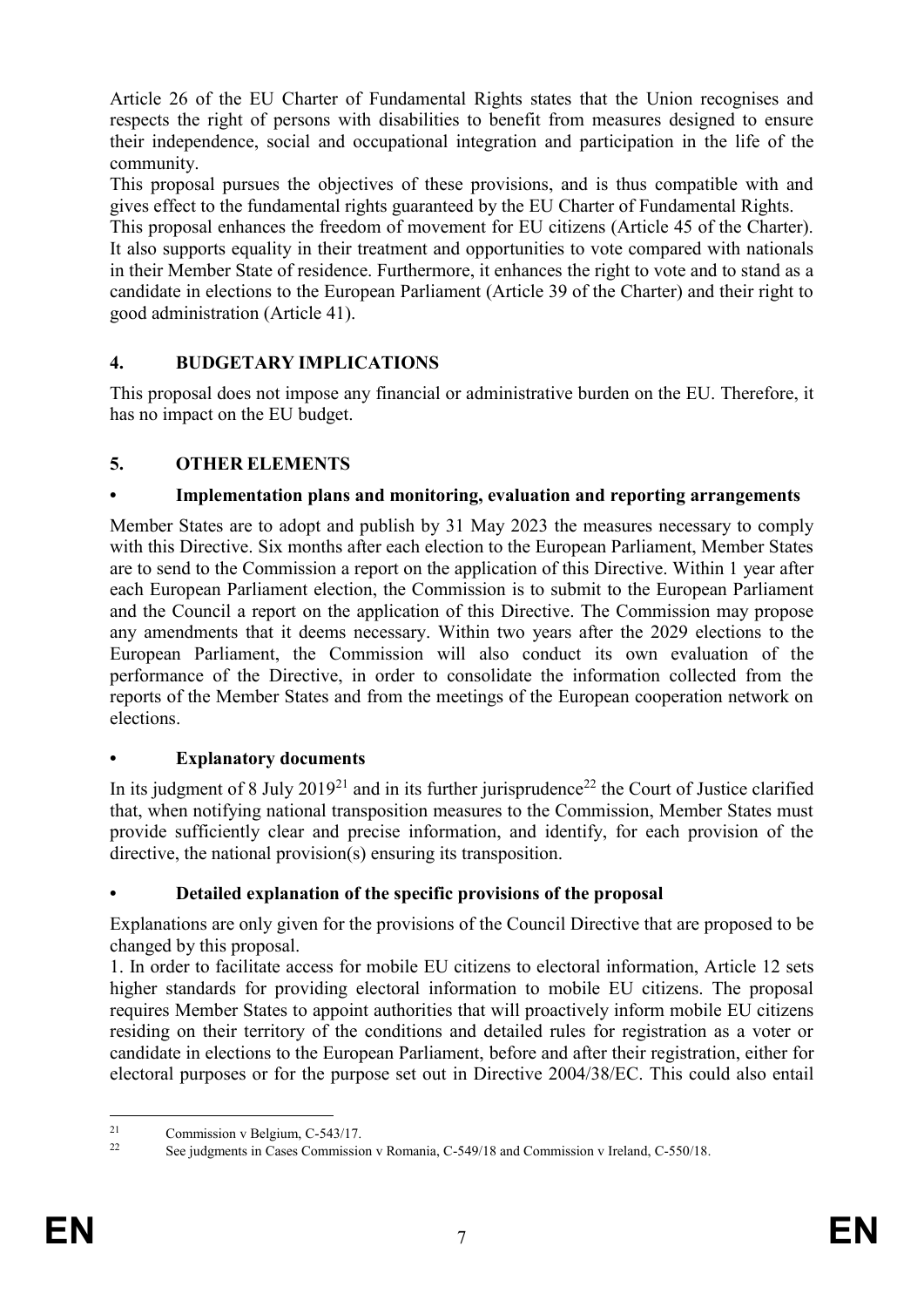Article 26 of the EU Charter of Fundamental Rights states that the Union recognises and respects the right of persons with disabilities to benefit from measures designed to ensure their independence, social and occupational integration and participation in the life of the community.

This proposal pursues the objectives of these provisions, and is thus compatible with and gives effect to the fundamental rights guaranteed by the EU Charter of Fundamental Rights.

This proposal enhances the freedom of movement for EU citizens (Article 45 of the Charter). It also supports equality in their treatment and opportunities to vote compared with nationals in their Member State of residence. Furthermore, it enhances the right to vote and to stand as a candidate in elections to the European Parliament (Article 39 of the Charter) and their right to good administration (Article 41).

# **4. BUDGETARY IMPLICATIONS**

This proposal does not impose any financial or administrative burden on the EU. Therefore, it has no impact on the EU budget.

# **5. OTHER ELEMENTS**

# **• Implementation plans and monitoring, evaluation and reporting arrangements**

Member States are to adopt and publish by 31 May 2023 the measures necessary to comply with this Directive. Six months after each election to the European Parliament, Member States are to send to the Commission a report on the application of this Directive. Within 1 year after each European Parliament election, the Commission is to submit to the European Parliament and the Council a report on the application of this Directive. The Commission may propose any amendments that it deems necessary. Within two years after the 2029 elections to the European Parliament, the Commission will also conduct its own evaluation of the performance of the Directive, in order to consolidate the information collected from the reports of the Member States and from the meetings of the European cooperation network on elections.

# **• Explanatory documents**

In its judgment of 8 July 2019<sup>21</sup> and in its further jurisprudence<sup>22</sup> the Court of Justice clarified that, when notifying national transposition measures to the Commission, Member States must provide sufficiently clear and precise information, and identify, for each provision of the directive, the national provision(s) ensuring its transposition.

# **• Detailed explanation of the specific provisions of the proposal**

Explanations are only given for the provisions of the Council Directive that are proposed to be changed by this proposal.

1. In order to facilitate access for mobile EU citizens to electoral information, Article 12 sets higher standards for providing electoral information to mobile EU citizens. The proposal requires Member States to appoint authorities that will proactively inform mobile EU citizens residing on their territory of the conditions and detailed rules for registration as a voter or candidate in elections to the European Parliament, before and after their registration, either for electoral purposes or for the purpose set out in Directive 2004/38/EC. This could also entail

 $21$  $\frac{21}{22}$  Commission v Belgium, C-543/17.

<sup>22</sup> See judgments in Cases Commission v Romania, C-549/18 and Commission v Ireland, C-550/18.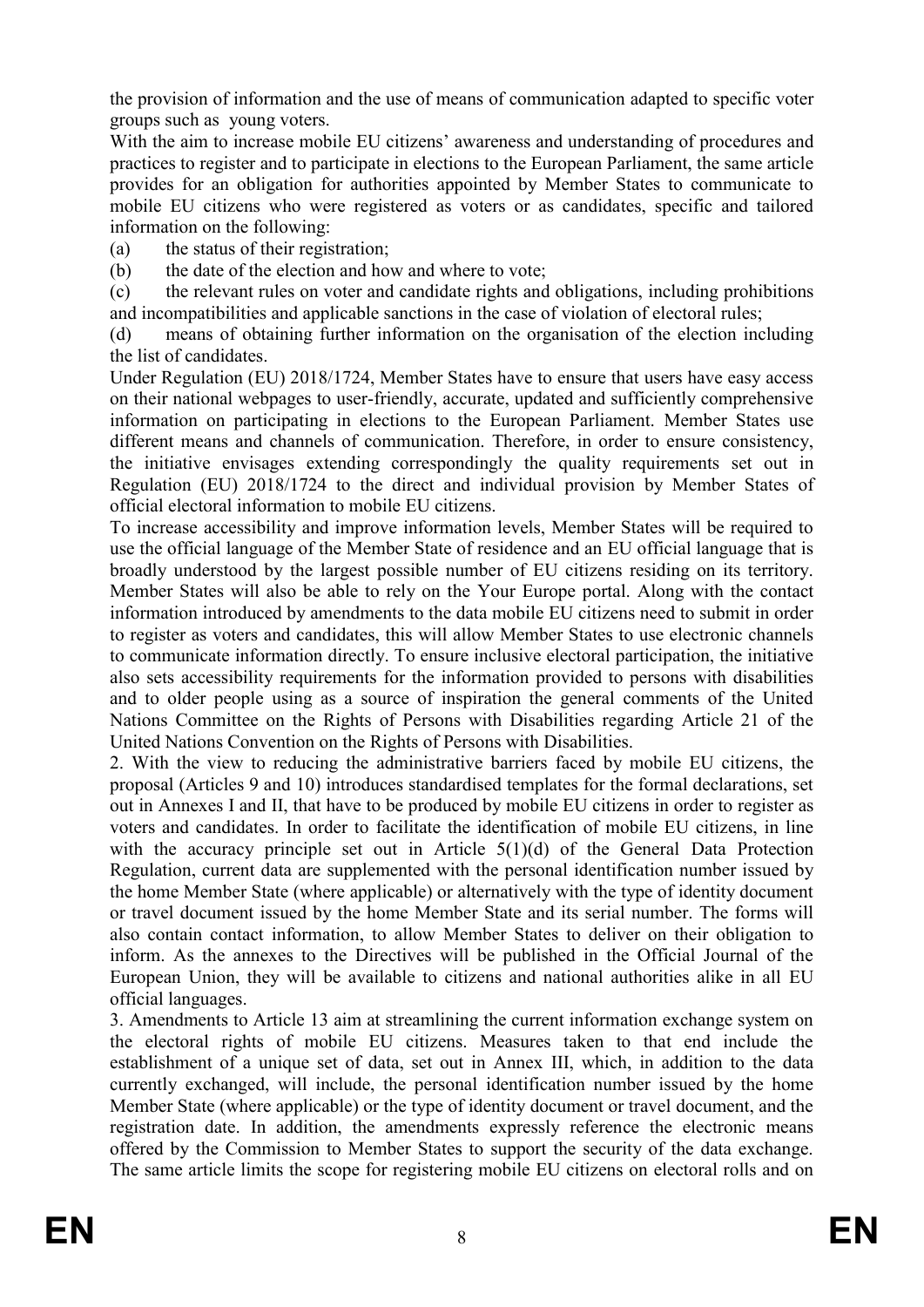the provision of information and the use of means of communication adapted to specific voter groups such as young voters.

With the aim to increase mobile EU citizens' awareness and understanding of procedures and practices to register and to participate in elections to the European Parliament, the same article provides for an obligation for authorities appointed by Member States to communicate to mobile EU citizens who were registered as voters or as candidates, specific and tailored information on the following:

(a) the status of their registration;

(b) the date of the election and how and where to vote;

(c) the relevant rules on voter and candidate rights and obligations, including prohibitions and incompatibilities and applicable sanctions in the case of violation of electoral rules;

(d) means of obtaining further information on the organisation of the election including the list of candidates.

Under Regulation (EU) 2018/1724, Member States have to ensure that users have easy access on their national webpages to user-friendly, accurate, updated and sufficiently comprehensive information on participating in elections to the European Parliament. Member States use different means and channels of communication. Therefore, in order to ensure consistency, the initiative envisages extending correspondingly the quality requirements set out in Regulation (EU) 2018/1724 to the direct and individual provision by Member States of official electoral information to mobile EU citizens.

To increase accessibility and improve information levels, Member States will be required to use the official language of the Member State of residence and an EU official language that is broadly understood by the largest possible number of EU citizens residing on its territory. Member States will also be able to rely on the Your Europe portal. Along with the contact information introduced by amendments to the data mobile EU citizens need to submit in order to register as voters and candidates, this will allow Member States to use electronic channels to communicate information directly. To ensure inclusive electoral participation, the initiative also sets accessibility requirements for the information provided to persons with disabilities and to older people using as a source of inspiration the general comments of the United Nations Committee on the Rights of Persons with Disabilities regarding Article 21 of the United Nations Convention on the Rights of Persons with Disabilities.

2. With the view to reducing the administrative barriers faced by mobile EU citizens, the proposal (Articles 9 and 10) introduces standardised templates for the formal declarations, set out in Annexes I and II, that have to be produced by mobile EU citizens in order to register as voters and candidates. In order to facilitate the identification of mobile EU citizens, in line with the accuracy principle set out in Article 5(1)(d) of the General Data Protection Regulation, current data are supplemented with the personal identification number issued by the home Member State (where applicable) or alternatively with the type of identity document or travel document issued by the home Member State and its serial number. The forms will also contain contact information, to allow Member States to deliver on their obligation to inform. As the annexes to the Directives will be published in the Official Journal of the European Union, they will be available to citizens and national authorities alike in all EU official languages.

3. Amendments to Article 13 aim at streamlining the current information exchange system on the electoral rights of mobile EU citizens. Measures taken to that end include the establishment of a unique set of data, set out in Annex III, which, in addition to the data currently exchanged, will include, the personal identification number issued by the home Member State (where applicable) or the type of identity document or travel document, and the registration date. In addition, the amendments expressly reference the electronic means offered by the Commission to Member States to support the security of the data exchange. The same article limits the scope for registering mobile EU citizens on electoral rolls and on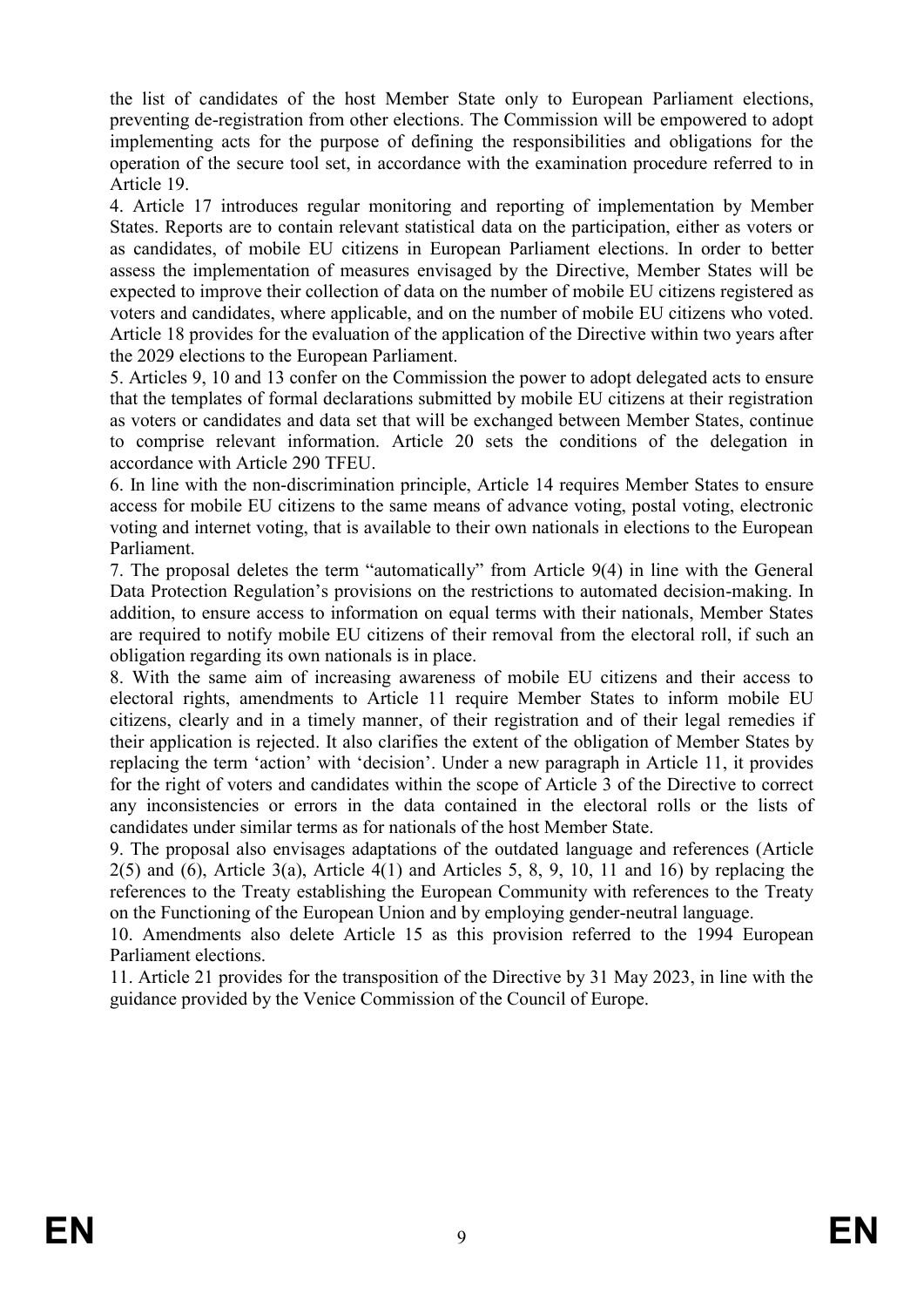the list of candidates of the host Member State only to European Parliament elections, preventing de-registration from other elections. The Commission will be empowered to adopt implementing acts for the purpose of defining the responsibilities and obligations for the operation of the secure tool set, in accordance with the examination procedure referred to in Article 19.

4. Article 17 introduces regular monitoring and reporting of implementation by Member States. Reports are to contain relevant statistical data on the participation, either as voters or as candidates, of mobile EU citizens in European Parliament elections. In order to better assess the implementation of measures envisaged by the Directive, Member States will be expected to improve their collection of data on the number of mobile EU citizens registered as voters and candidates, where applicable, and on the number of mobile EU citizens who voted. Article 18 provides for the evaluation of the application of the Directive within two years after the 2029 elections to the European Parliament.

5. Articles 9, 10 and 13 confer on the Commission the power to adopt delegated acts to ensure that the templates of formal declarations submitted by mobile EU citizens at their registration as voters or candidates and data set that will be exchanged between Member States, continue to comprise relevant information. Article 20 sets the conditions of the delegation in accordance with Article 290 TFEU.

6. In line with the non-discrimination principle, Article 14 requires Member States to ensure access for mobile EU citizens to the same means of advance voting, postal voting, electronic voting and internet voting, that is available to their own nationals in elections to the European Parliament.

7. The proposal deletes the term "automatically" from Article 9(4) in line with the General Data Protection Regulation's provisions on the restrictions to automated decision-making. In addition, to ensure access to information on equal terms with their nationals, Member States are required to notify mobile EU citizens of their removal from the electoral roll, if such an obligation regarding its own nationals is in place.

8. With the same aim of increasing awareness of mobile EU citizens and their access to electoral rights, amendments to Article 11 require Member States to inform mobile EU citizens, clearly and in a timely manner, of their registration and of their legal remedies if their application is rejected. It also clarifies the extent of the obligation of Member States by replacing the term 'action' with 'decision'. Under a new paragraph in Article 11, it provides for the right of voters and candidates within the scope of Article 3 of the Directive to correct any inconsistencies or errors in the data contained in the electoral rolls or the lists of candidates under similar terms as for nationals of the host Member State.

9. The proposal also envisages adaptations of the outdated language and references (Article  $2(5)$  and  $(6)$ , Article  $3(a)$ , Article  $4(1)$  and Articles 5, 8, 9, 10, 11 and 16) by replacing the references to the Treaty establishing the European Community with references to the Treaty on the Functioning of the European Union and by employing gender-neutral language.

10. Amendments also delete Article 15 as this provision referred to the 1994 European Parliament elections.

11. Article 21 provides for the transposition of the Directive by 31 May 2023, in line with the guidance provided by the Venice Commission of the Council of Europe.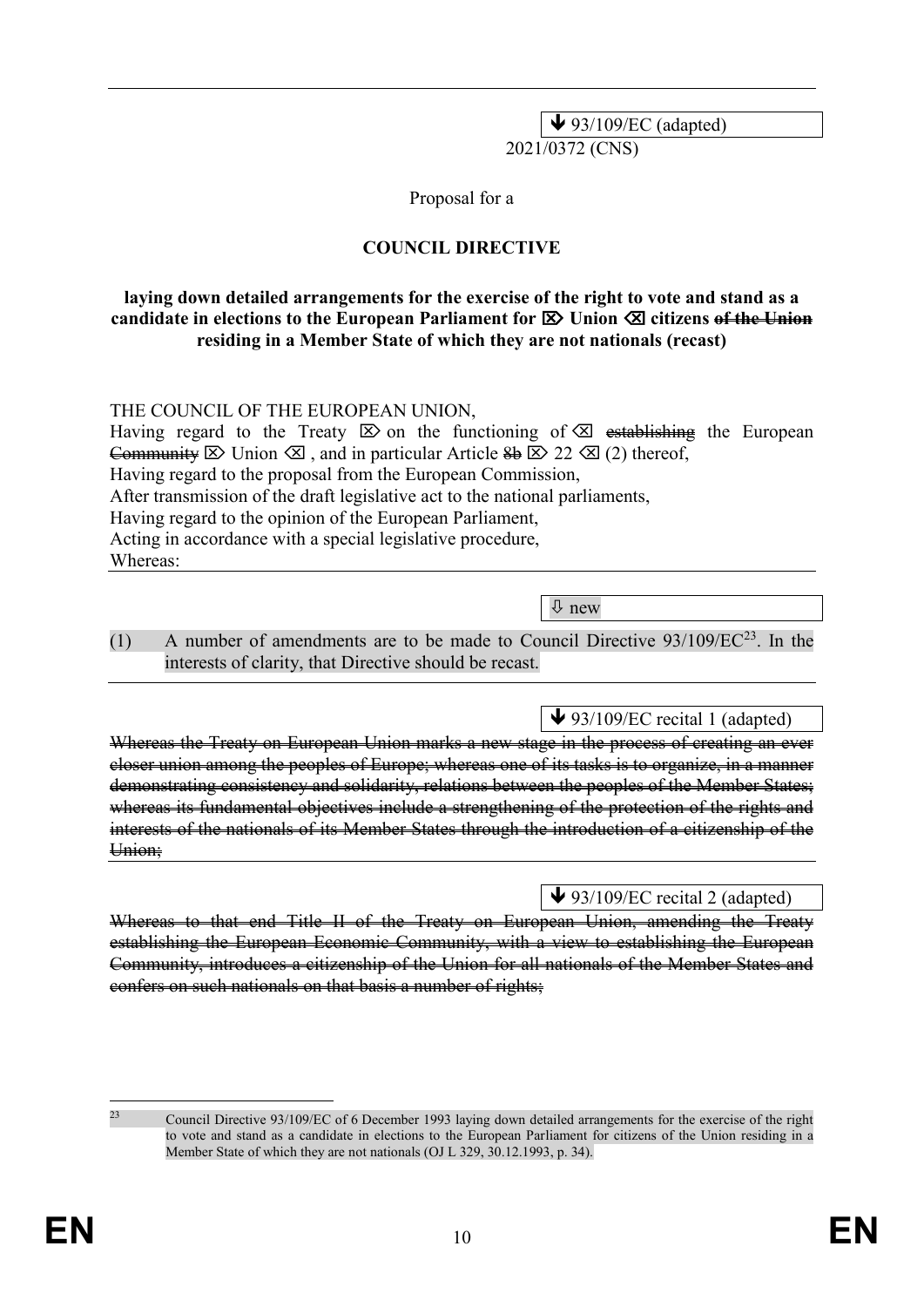$\blacktriangleright$  93/109/EC (adapted) 2021/0372 (CNS)

Proposal for a

### **COUNCIL DIRECTIVE**

#### **laying down detailed arrangements for the exercise of the right to vote and stand as a candidate in elections to the European Parliament for**  $\boxtimes$  **Union**  $\boxtimes$  **citizens of the Union residing in a Member State of which they are not nationals (recast)**

THE COUNCIL OF THE EUROPEAN UNION,

Having regard to the Treaty  $\boxtimes$  on the functioning of  $\boxtimes$  establishing the European Community  $\boxtimes$  Union  $\boxtimes$ , and in particular Article  $\bigoplus \boxtimes 22 \boxtimes (2)$  thereof, Having regard to the proposal from the European Commission, After transmission of the draft legislative act to the national parliaments, Having regard to the opinion of the European Parliament, Acting in accordance with a special legislative procedure, Whereas:

new

(1) A number of amendments are to be made to Council Directive  $93/109/EC^{23}$ . In the interests of clarity, that Directive should be recast.

 $\blacktriangleright$  93/109/EC recital 1 (adapted)

Whereas the Treaty on European Union marks a new stage in the process of creating an ever closer union among the peoples of Europe; whereas one of its tasks is to organize, in a manner demonstrating consistency and solidarity, relations between the peoples of the Member States; whereas its fundamental objectives include a strengthening of the protection of the rights and interests of the nationals of its Member States through the introduction of a citizenship of the Union:

 $\blacktriangleright$  93/109/EC recital 2 (adapted)

Whereas to that end Title II of the Treaty on European Union, amending the Treaty establishing the European Economic Community, with a view to establishing the European Community, introduces a citizenship of the Union for all nationals of the Member States and confers on such nationals on that basis a number of rights;

 $23$ 

<sup>23</sup> Council Directive 93/109/EC of 6 December 1993 laying down detailed arrangements for the exercise of the right to vote and stand as a candidate in elections to the European Parliament for citizens of the Union residing in a Member State of which they are not nationals (OJ L 329, 30.12.1993, p. 34).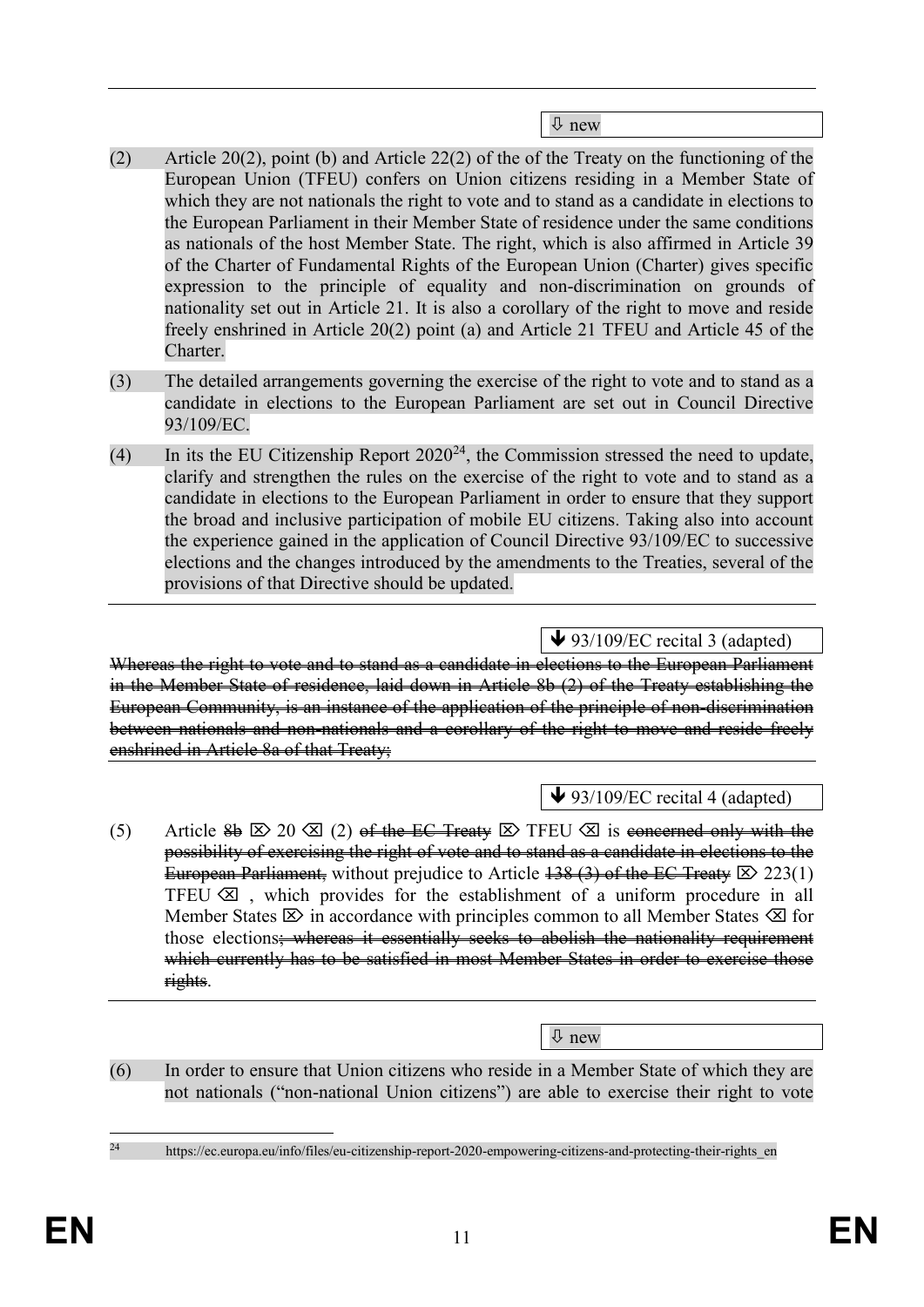new

- (2) Article 20(2), point (b) and Article 22(2) of the of the Treaty on the functioning of the European Union (TFEU) confers on Union citizens residing in a Member State of which they are not nationals the right to vote and to stand as a candidate in elections to the European Parliament in their Member State of residence under the same conditions as nationals of the host Member State. The right, which is also affirmed in Article 39 of the Charter of Fundamental Rights of the European Union (Charter) gives specific expression to the principle of equality and non-discrimination on grounds of nationality set out in Article 21. It is also a corollary of the right to move and reside freely enshrined in Article 20(2) point (a) and Article 21 TFEU and Article 45 of the Charter.
- (3) The detailed arrangements governing the exercise of the right to vote and to stand as a candidate in elections to the European Parliament are set out in Council Directive 93/109/EC.
- (4) In its the EU Citizenship Report  $2020^{24}$ , the Commission stressed the need to update, clarify and strengthen the rules on the exercise of the right to vote and to stand as a candidate in elections to the European Parliament in order to ensure that they support the broad and inclusive participation of mobile EU citizens. Taking also into account the experience gained in the application of Council Directive 93/109/EC to successive elections and the changes introduced by the amendments to the Treaties, several of the provisions of that Directive should be updated.

93/109/EC recital 3 (adapted)

Whereas the right to vote and to stand as a candidate in elections to the European Parliament in the Member State of residence, laid down in Article 8b (2) of the Treaty establishing the European Community, is an instance of the application of the principle of non-discrimination between nationals and non-nationals and a corollary of the right to move and reside freely enshrined in Article 8a of that Treaty;

↓ 93/109/EC recital 4 (adapted)

(5) Article  $\frac{1}{2}$   $\otimes$  20  $\otimes$  (2) of the EC Treaty  $\otimes$  TFEU  $\otimes$  is concerned only with the possibility of exercising the right of vote and to stand as a candidate in elections to the European Parliament, without prejudice to Article  $\frac{138(3)}{3100}$  of the EC Treaty  $\boxtimes$  223(1) TFEU  $\otimes$ , which provides for the establishment of a uniform procedure in all Member States  $\boxtimes$  in accordance with principles common to all Member States  $\boxtimes$  for those elections<del>; whereas it essentially seeks to abolish the nationality requirement</del> which currently has to be satisfied in most Member States in order to exercise those rights.

new

(6) In order to ensure that Union citizens who reside in a Member State of which they are not nationals ("non-national Union citizens") are able to exercise their right to vote

 $24$ 

https://ec.europa.eu/info/files/eu-citizenship-report-2020-empowering-citizens-and-protecting-their-rights\_en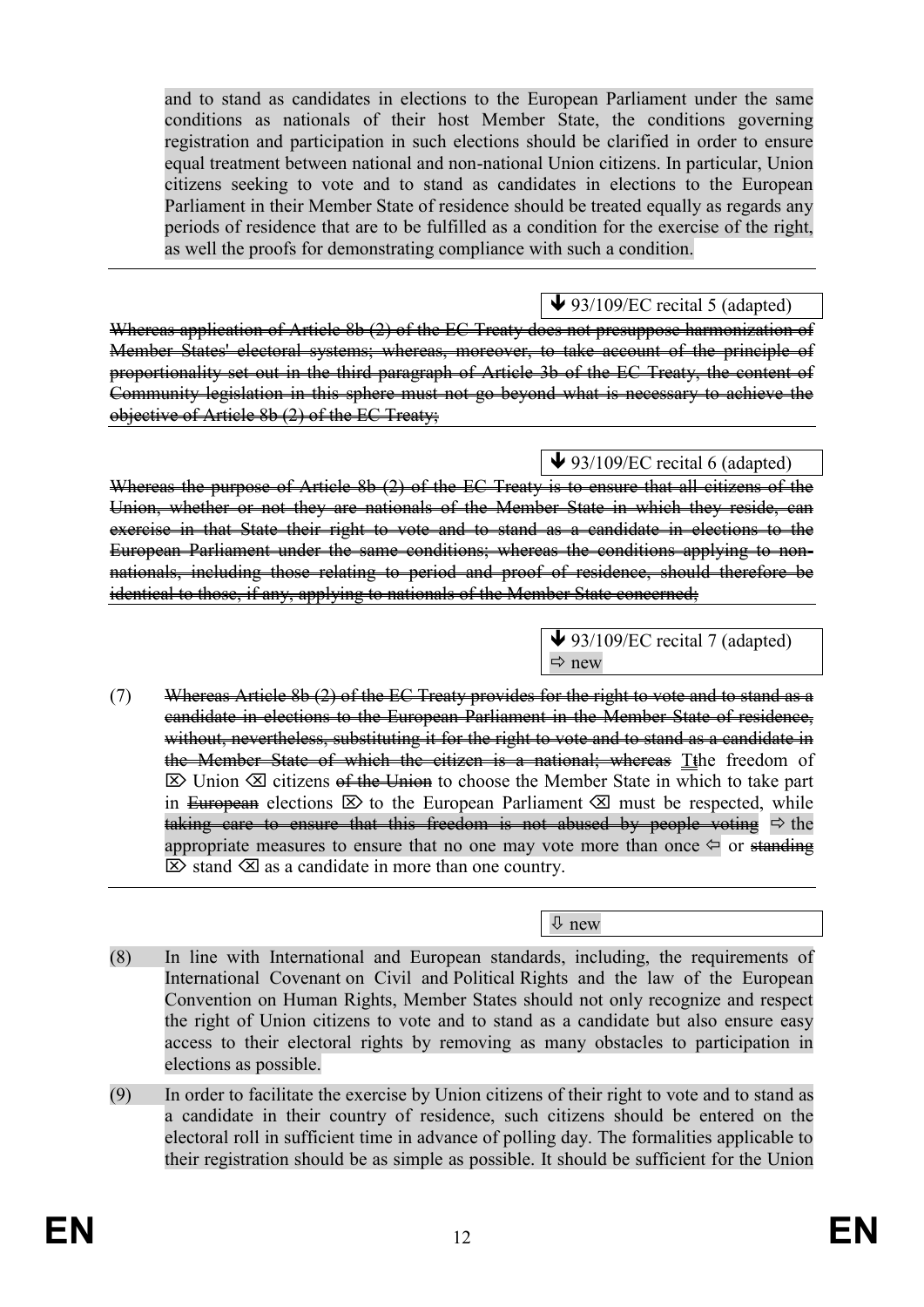and to stand as candidates in elections to the European Parliament under the same conditions as nationals of their host Member State, the conditions governing registration and participation in such elections should be clarified in order to ensure equal treatment between national and non-national Union citizens. In particular, Union citizens seeking to vote and to stand as candidates in elections to the European Parliament in their Member State of residence should be treated equally as regards any periods of residence that are to be fulfilled as a condition for the exercise of the right, as well the proofs for demonstrating compliance with such a condition.

 $\blacktriangleright$  93/109/EC recital 5 (adapted)

Whereas application of Article 8b (2) of the EC Treaty does not presuppose harmonization of Member States' electoral systems; whereas, moreover, to take account of the principle of proportionality set out in the third paragraph of Article 3b of the EC Treaty, the content of Community legislation in this sphere must not go beyond what is necessary to achieve the objective of Article 8b (2) of the EC Treaty;

# $\blacktriangleright$  93/109/EC recital 6 (adapted)

Whereas the purpose of Article 8b (2) of the EC Treaty is to ensure that all citizens of the Union, whether or not they are nationals of the Member State in which they reside, can exercise in that State their right to vote and to stand as a candidate in elections to the European Parliament under the same conditions; whereas the conditions applying to nonnationals, including those relating to period and proof of residence, should therefore be identical to those, if any, applying to nationals of the Member State concerned;

> $\bigvee$  93/109/EC recital 7 (adapted)  $Arr$  new

(7) Whereas Article 8b  $(2)$  of the EC Treaty provides for the right to vote and to stand as a candidate in elections to the European Parliament in the Member State of residence, without, nevertheless, substituting it for the right to vote and to stand as a candidate in the Member State of which the citizen is a national; whereas Tthe freedom of  $\boxtimes$  Union  $\boxtimes$  citizens <del>of the Union</del> to choose the Member State in which to take part in European elections  $\boxtimes$  to the European Parliament  $\boxtimes$  must be respected, while taking care to ensure that this freedom is not abused by people voting  $\Rightarrow$  the appropriate measures to ensure that no one may vote more than once  $\Leftrightarrow$  or standing  $\boxtimes$  stand  $\boxtimes$  as a candidate in more than one country.

new

- (8) In line with International and European standards, including, the requirements of International Covenant on Civil and Political Rights and the law of the European Convention on Human Rights, Member States should not only recognize and respect the right of Union citizens to vote and to stand as a candidate but also ensure easy access to their electoral rights by removing as many obstacles to participation in elections as possible.
- (9) In order to facilitate the exercise by Union citizens of their right to vote and to stand as a candidate in their country of residence, such citizens should be entered on the electoral roll in sufficient time in advance of polling day. The formalities applicable to their registration should be as simple as possible. It should be sufficient for the Union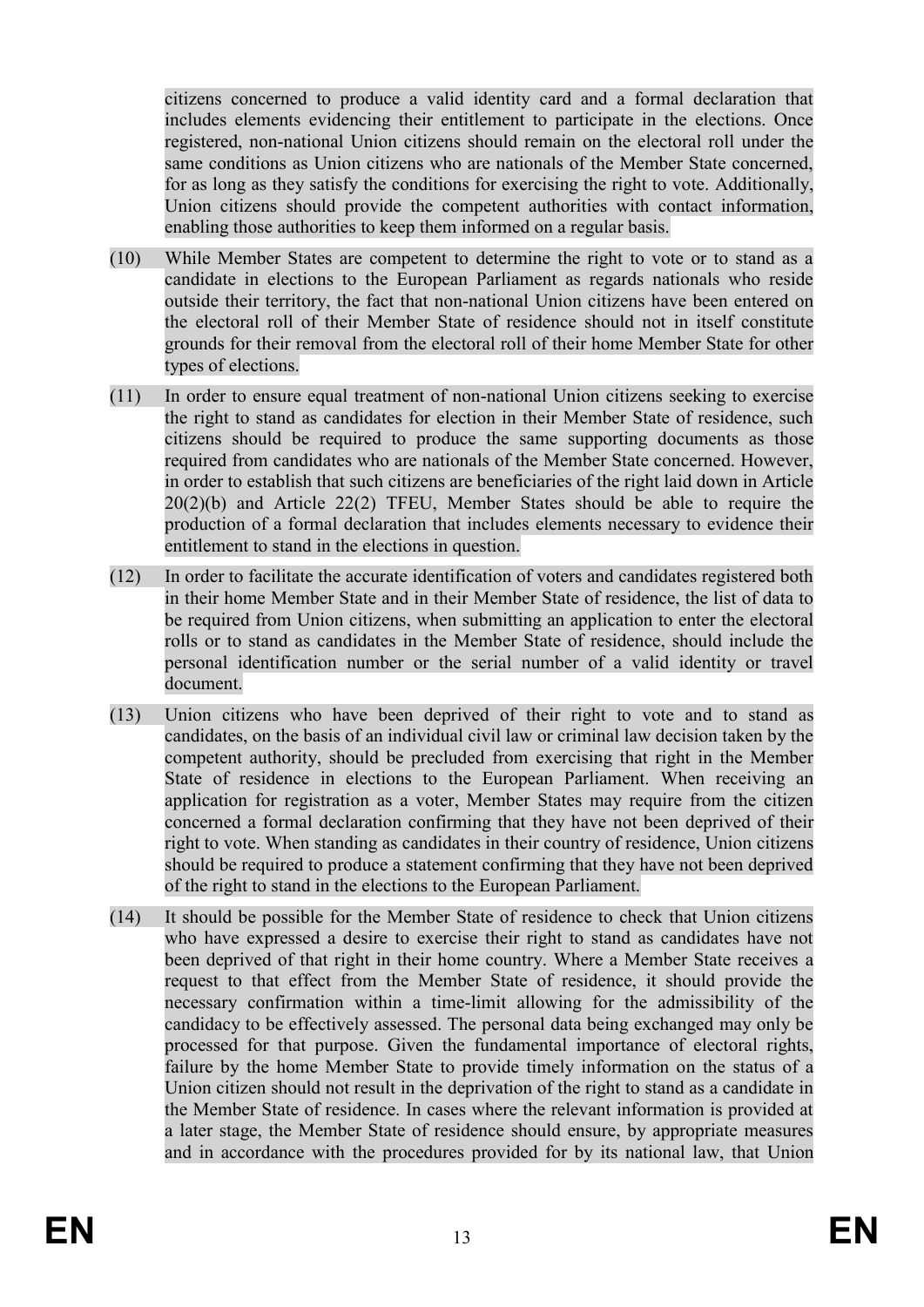citizens concerned to produce a valid identity card and a formal declaration that includes elements evidencing their entitlement to participate in the elections. Once registered, non-national Union citizens should remain on the electoral roll under the same conditions as Union citizens who are nationals of the Member State concerned, for as long as they satisfy the conditions for exercising the right to vote. Additionally, Union citizens should provide the competent authorities with contact information, enabling those authorities to keep them informed on a regular basis.

- (10) While Member States are competent to determine the right to vote or to stand as a candidate in elections to the European Parliament as regards nationals who reside outside their territory, the fact that non-national Union citizens have been entered on the electoral roll of their Member State of residence should not in itself constitute grounds for their removal from the electoral roll of their home Member State for other types of elections.
- (11) In order to ensure equal treatment of non-national Union citizens seeking to exercise the right to stand as candidates for election in their Member State of residence, such citizens should be required to produce the same supporting documents as those required from candidates who are nationals of the Member State concerned. However, in order to establish that such citizens are beneficiaries of the right laid down in Article 20(2)(b) and Article 22(2) TFEU, Member States should be able to require the production of a formal declaration that includes elements necessary to evidence their entitlement to stand in the elections in question.
- (12) In order to facilitate the accurate identification of voters and candidates registered both in their home Member State and in their Member State of residence, the list of data to be required from Union citizens, when submitting an application to enter the electoral rolls or to stand as candidates in the Member State of residence, should include the personal identification number or the serial number of a valid identity or travel document.
- (13) Union citizens who have been deprived of their right to vote and to stand as candidates, on the basis of an individual civil law or criminal law decision taken by the competent authority, should be precluded from exercising that right in the Member State of residence in elections to the European Parliament. When receiving an application for registration as a voter, Member States may require from the citizen concerned a formal declaration confirming that they have not been deprived of their right to vote. When standing as candidates in their country of residence, Union citizens should be required to produce a statement confirming that they have not been deprived of the right to stand in the elections to the European Parliament.
- (14) It should be possible for the Member State of residence to check that Union citizens who have expressed a desire to exercise their right to stand as candidates have not been deprived of that right in their home country. Where a Member State receives a request to that effect from the Member State of residence, it should provide the necessary confirmation within a time-limit allowing for the admissibility of the candidacy to be effectively assessed. The personal data being exchanged may only be processed for that purpose. Given the fundamental importance of electoral rights, failure by the home Member State to provide timely information on the status of a Union citizen should not result in the deprivation of the right to stand as a candidate in the Member State of residence. In cases where the relevant information is provided at a later stage, the Member State of residence should ensure, by appropriate measures and in accordance with the procedures provided for by its national law, that Union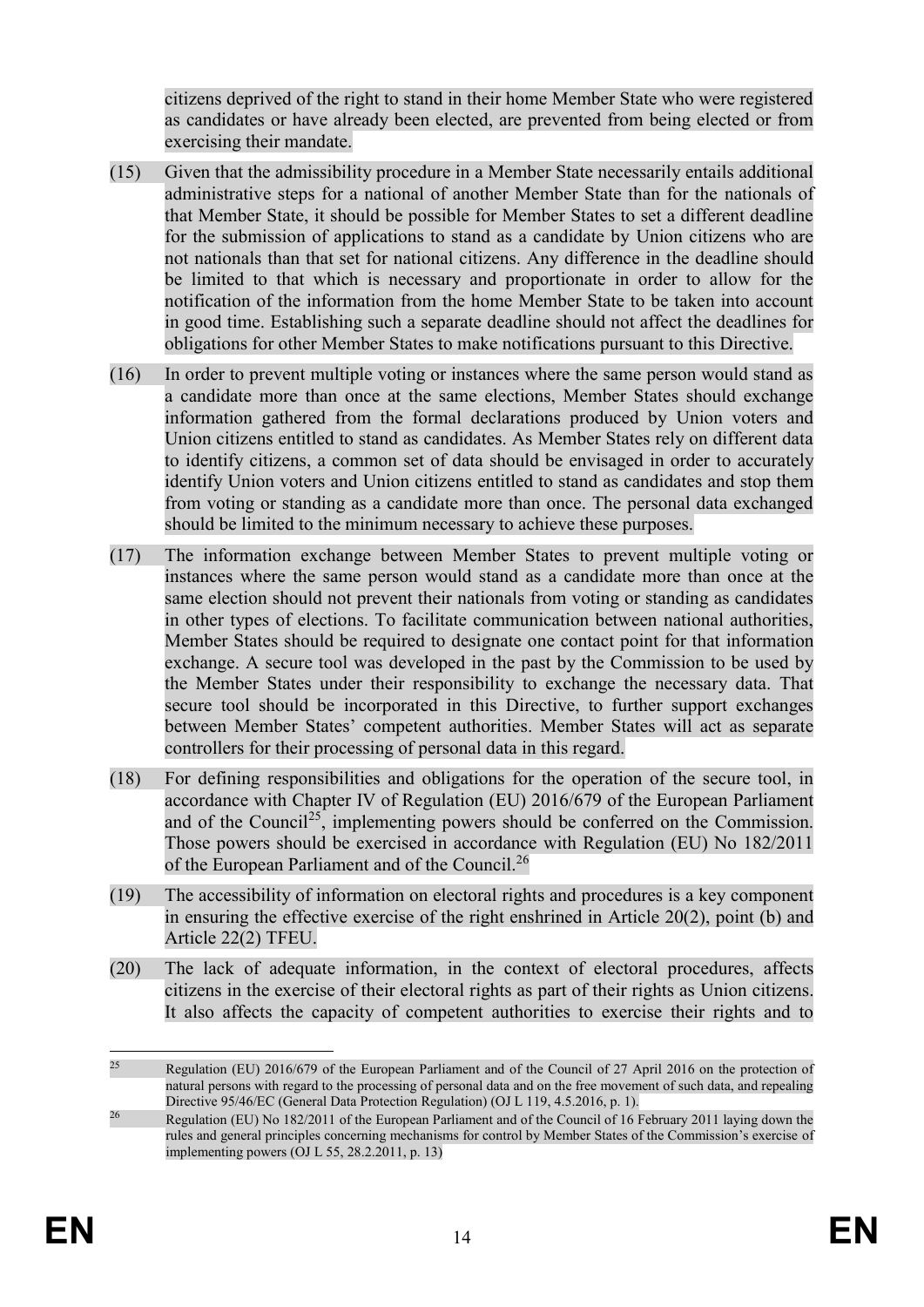citizens deprived of the right to stand in their home Member State who were registered as candidates or have already been elected, are prevented from being elected or from exercising their mandate.

- (15) Given that the admissibility procedure in a Member State necessarily entails additional administrative steps for a national of another Member State than for the nationals of that Member State, it should be possible for Member States to set a different deadline for the submission of applications to stand as a candidate by Union citizens who are not nationals than that set for national citizens. Any difference in the deadline should be limited to that which is necessary and proportionate in order to allow for the notification of the information from the home Member State to be taken into account in good time. Establishing such a separate deadline should not affect the deadlines for obligations for other Member States to make notifications pursuant to this Directive.
- (16) In order to prevent multiple voting or instances where the same person would stand as a candidate more than once at the same elections, Member States should exchange information gathered from the formal declarations produced by Union voters and Union citizens entitled to stand as candidates. As Member States rely on different data to identify citizens, a common set of data should be envisaged in order to accurately identify Union voters and Union citizens entitled to stand as candidates and stop them from voting or standing as a candidate more than once. The personal data exchanged should be limited to the minimum necessary to achieve these purposes.
- (17) The information exchange between Member States to prevent multiple voting or instances where the same person would stand as a candidate more than once at the same election should not prevent their nationals from voting or standing as candidates in other types of elections. To facilitate communication between national authorities, Member States should be required to designate one contact point for that information exchange. A secure tool was developed in the past by the Commission to be used by the Member States under their responsibility to exchange the necessary data. That secure tool should be incorporated in this Directive, to further support exchanges between Member States' competent authorities. Member States will act as separate controllers for their processing of personal data in this regard.
- (18) For defining responsibilities and obligations for the operation of the secure tool, in accordance with Chapter IV of Regulation (EU) 2016/679 of the European Parliament and of the Council<sup>25</sup>, implementing powers should be conferred on the Commission. Those powers should be exercised in accordance with Regulation (EU) No 182/2011 of the European Parliament and of the Council.<sup>26</sup>
- (19) The accessibility of information on electoral rights and procedures is a key component in ensuring the effective exercise of the right enshrined in Article 20(2), point (b) and Article 22(2) TFEU.
- (20) The lack of adequate information, in the context of electoral procedures, affects citizens in the exercise of their electoral rights as part of their rights as Union citizens. It also affects the capacity of competent authorities to exercise their rights and to

<sup>25</sup> Regulation (EU) 2016/679 of the European Parliament and of the Council of 27 April 2016 on the protection of natural persons with regard to the processing of personal data and on the free movement of such data, and repealing Directive 95/46/EC (General Data Protection Regulation) (OJ L 119, 4.5.2016, p. 1).

<sup>&</sup>lt;sup>26</sup> Regulation (EU) No 182/2011 of the European Parliament and of the Council of 16 February 2011 laying down the rules and general principles concerning mechanisms for control by Member States of the Commission's exercise of implementing powers (OJ L 55, 28.2.2011, p. 13)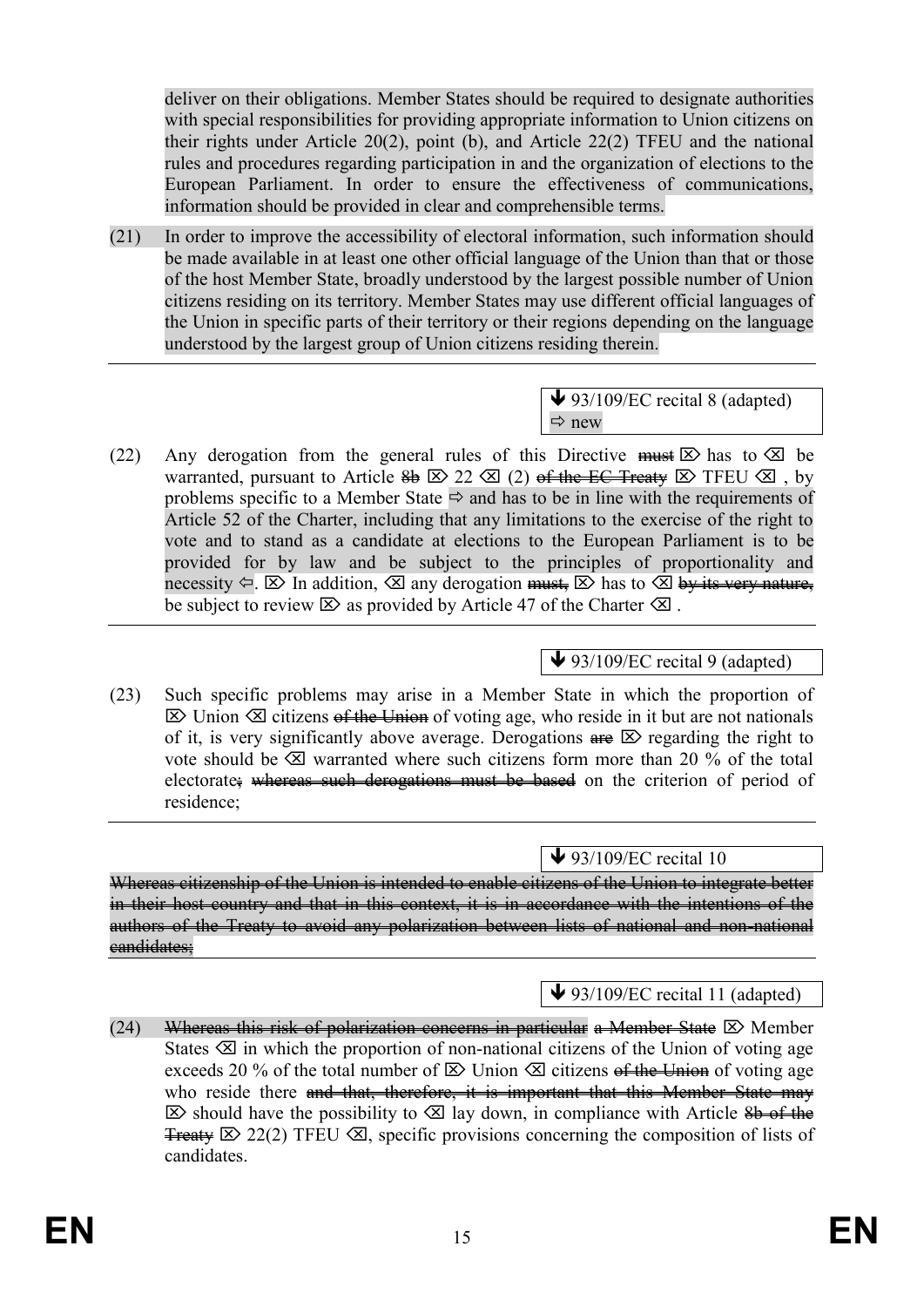deliver on their obligations. Member States should be required to designate authorities with special responsibilities for providing appropriate information to Union citizens on their rights under Article 20(2), point (b), and Article 22(2) TFEU and the national rules and procedures regarding participation in and the organization of elections to the European Parliament. In order to ensure the effectiveness of communications, information should be provided in clear and comprehensible terms.

(21) In order to improve the accessibility of electoral information, such information should be made available in at least one other official language of the Union than that or those of the host Member State, broadly understood by the largest possible number of Union citizens residing on its territory. Member States may use different official languages of the Union in specific parts of their territory or their regions depending on the language understood by the largest group of Union citizens residing therein.

> $\bigvee$  93/109/EC recital 8 (adapted)  $\Rightarrow$  new

(22) Any derogation from the general rules of this Directive must  $\boxtimes$  has to  $\boxtimes$  be warranted, pursuant to Article  $\frac{2}{96}$   $\boxtimes$  22  $\boxtimes$  (2) <del>of the EC Treaty</del>  $\boxtimes$  TFEU  $\boxtimes$ , by problems specific to a Member State  $\Rightarrow$  and has to be in line with the requirements of Article 52 of the Charter, including that any limitations to the exercise of the right to vote and to stand as a candidate at elections to the European Parliament is to be provided for by law and be subject to the principles of proportionality and necessity  $\leftarrow$   $\boxtimes$  In addition,  $\boxtimes$  any derogation <del>must,</del>  $\boxtimes$  has to  $\boxtimes$  by its very nature, be subject to review  $\boxtimes$  as provided by Article 47 of the Charter  $\boxtimes$ .

# $\bigvee$  93/109/EC recital 9 (adapted)

(23) Such specific problems may arise in a Member State in which the proportion of  $\boxtimes$  Union  $\boxtimes$  citizens of the Union of voting age, who reside in it but are not nationals of it, is very significantly above average. Derogations  $\theta \in \mathbb{Z}$  regarding the right to vote should be  $\otimes$  warranted where such citizens form more than 20 % of the total electorate; whereas such derogations must be based on the criterion of period of residence;

 $\blacktriangleright$  93/109/EC recital 10

Whereas citizenship of the Union is intended to enable citizens of the Union to integrate better in their host country and that in this context, it is in accordance with the intentions of the authors of the Treaty to avoid any polarization between lists of national and non-national eandidates;

 $\bigvee$  93/109/EC recital 11 (adapted)

(24) Whereas this risk of polarization concerns in particular a Member State  $\boxtimes$  Member States  $\otimes$  in which the proportion of non-national citizens of the Union of voting age exceeds 20 % of the total number of  $\boxtimes$  Union  $\boxtimes$  citizens of the Union of voting age who reside there and that, therefore, it is important that this Member State may  $\boxtimes$  should have the possibility to  $\boxtimes$  lay down, in compliance with Article  $\frac{8b}{2}$  of the **Treaty**  $\boxtimes$  22(2) TFEU  $\boxtimes$ , specific provisions concerning the composition of lists of candidates.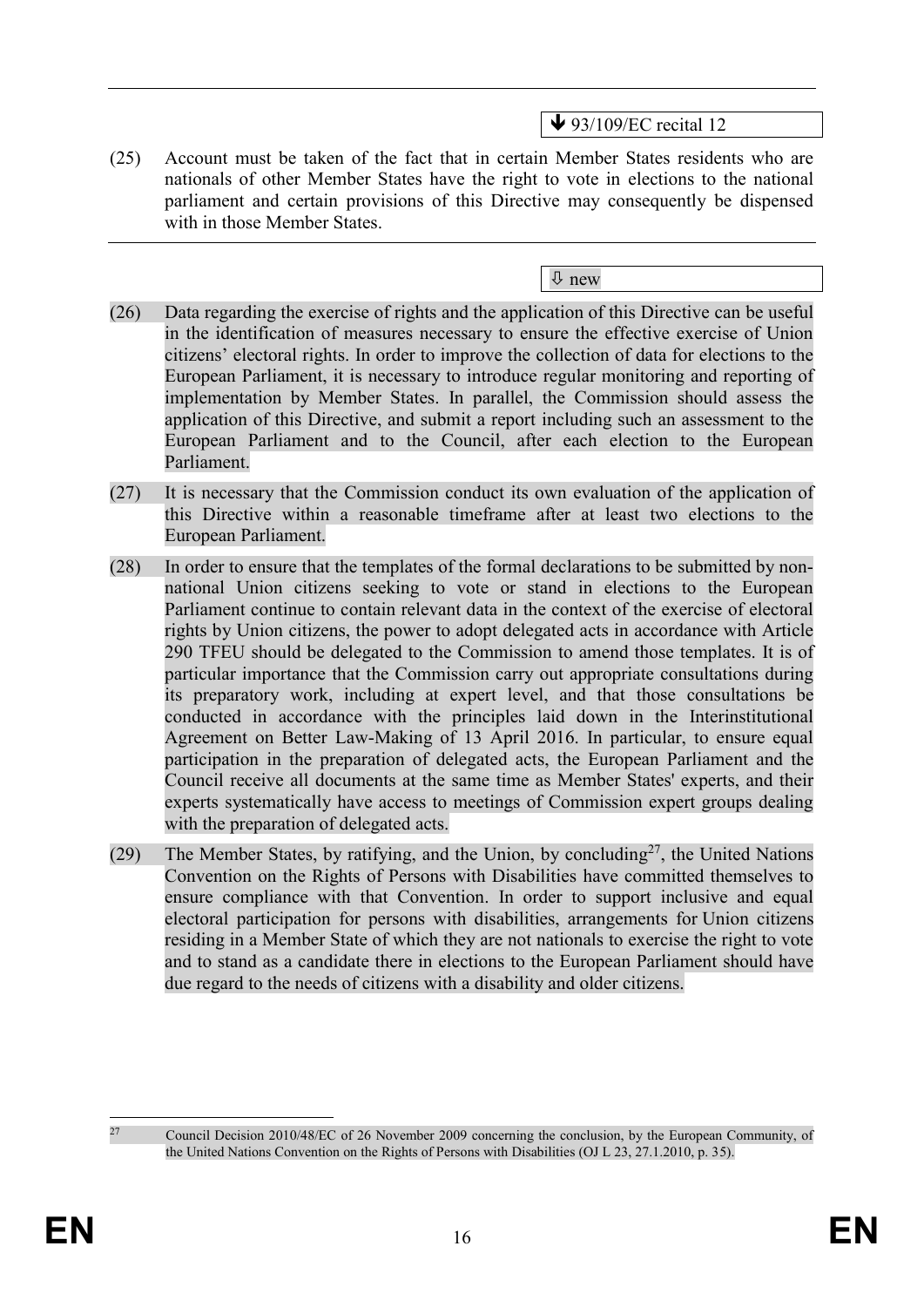$\blacktriangleright$  93/109/EC recital 12

(25) Account must be taken of the fact that in certain Member States residents who are nationals of other Member States have the right to vote in elections to the national parliament and certain provisions of this Directive may consequently be dispensed with in those Member States.

new

- (26) Data regarding the exercise of rights and the application of this Directive can be useful in the identification of measures necessary to ensure the effective exercise of Union citizens' electoral rights. In order to improve the collection of data for elections to the European Parliament, it is necessary to introduce regular monitoring and reporting of implementation by Member States. In parallel, the Commission should assess the application of this Directive, and submit a report including such an assessment to the European Parliament and to the Council, after each election to the European Parliament.
- (27) It is necessary that the Commission conduct its own evaluation of the application of this Directive within a reasonable timeframe after at least two elections to the European Parliament.
- (28) In order to ensure that the templates of the formal declarations to be submitted by nonnational Union citizens seeking to vote or stand in elections to the European Parliament continue to contain relevant data in the context of the exercise of electoral rights by Union citizens, the power to adopt delegated acts in accordance with Article 290 TFEU should be delegated to the Commission to amend those templates. It is of particular importance that the Commission carry out appropriate consultations during its preparatory work, including at expert level, and that those consultations be conducted in accordance with the principles laid down in the Interinstitutional Agreement on Better Law-Making of 13 April 2016. In particular, to ensure equal participation in the preparation of delegated acts, the European Parliament and the Council receive all documents at the same time as Member States' experts, and their experts systematically have access to meetings of Commission expert groups dealing with the preparation of delegated acts.
- (29) The Member States, by ratifying, and the Union, by concluding<sup>27</sup>, the United Nations Convention on the Rights of Persons with Disabilities have committed themselves to ensure compliance with that Convention. In order to support inclusive and equal electoral participation for persons with disabilities, arrangements for Union citizens residing in a Member State of which they are not nationals to exercise the right to vote and to stand as a candidate there in elections to the European Parliament should have due regard to the needs of citizens with a disability and older citizens.

1

<sup>&</sup>lt;sup>27</sup> Council Decision 2010/48/EC of 26 November 2009 concerning the conclusion, by the European Community, of the United Nations Convention on the Rights of Persons with Disabilities (OJ L 23, 27.1.2010, p. 35).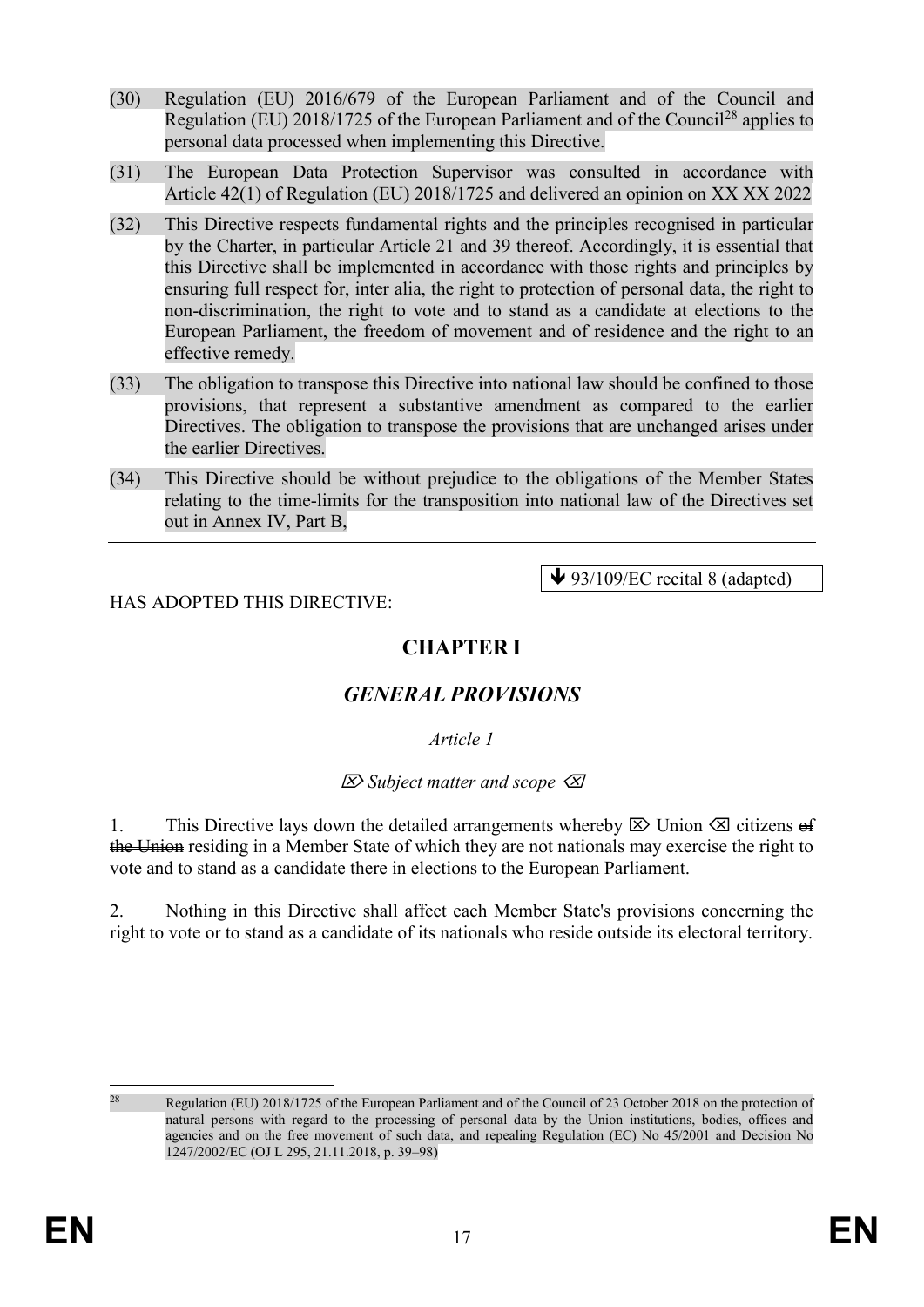- (30) Regulation (EU) 2016/679 of the European Parliament and of the Council and Regulation (EU) 2018/1725 of the European Parliament and of the Council<sup>28</sup> applies to personal data processed when implementing this Directive.
- (31) The European Data Protection Supervisor was consulted in accordance with Article 42(1) of Regulation (EU) 2018/1725 and delivered an opinion on XX XX 2022
- (32) This Directive respects fundamental rights and the principles recognised in particular by the Charter, in particular Article 21 and 39 thereof. Accordingly, it is essential that this Directive shall be implemented in accordance with those rights and principles by ensuring full respect for, inter alia, the right to protection of personal data, the right to non-discrimination, the right to vote and to stand as a candidate at elections to the European Parliament, the freedom of movement and of residence and the right to an effective remedy.
- (33) The obligation to transpose this Directive into national law should be confined to those provisions, that represent a substantive amendment as compared to the earlier Directives. The obligation to transpose the provisions that are unchanged arises under the earlier Directives.
- (34) This Directive should be without prejudice to the obligations of the Member States relating to the time-limits for the transposition into national law of the Directives set out in Annex IV, Part B,

#### HAS ADOPTED THIS DIRECTIVE:

 $\blacktriangleright$  93/109/EC recital 8 (adapted)

# **CHAPTER I**

# *GENERAL PROVISIONS*

*Article 1*

*Subject matter and scope*

1. This Directive lays down the detailed arrangements whereby  $\boxtimes$  Union  $\boxtimes$  citizens of the Union residing in a Member State of which they are not nationals may exercise the right to vote and to stand as a candidate there in elections to the European Parliament.

2. Nothing in this Directive shall affect each Member State's provisions concerning the right to vote or to stand as a candidate of its nationals who reside outside its electoral territory.

<sup>1</sup> 

<sup>&</sup>lt;sup>28</sup> Regulation (EU) 2018/1725 of the European Parliament and of the Council of 23 October 2018 on the protection of natural persons with regard to the processing of personal data by the Union institutions, bodies, offices and agencies and on the free movement of such data, and repealing Regulation (EC) No 45/2001 and Decision No 1247/2002/EC (OJ L 295, 21.11.2018, p. 39–98)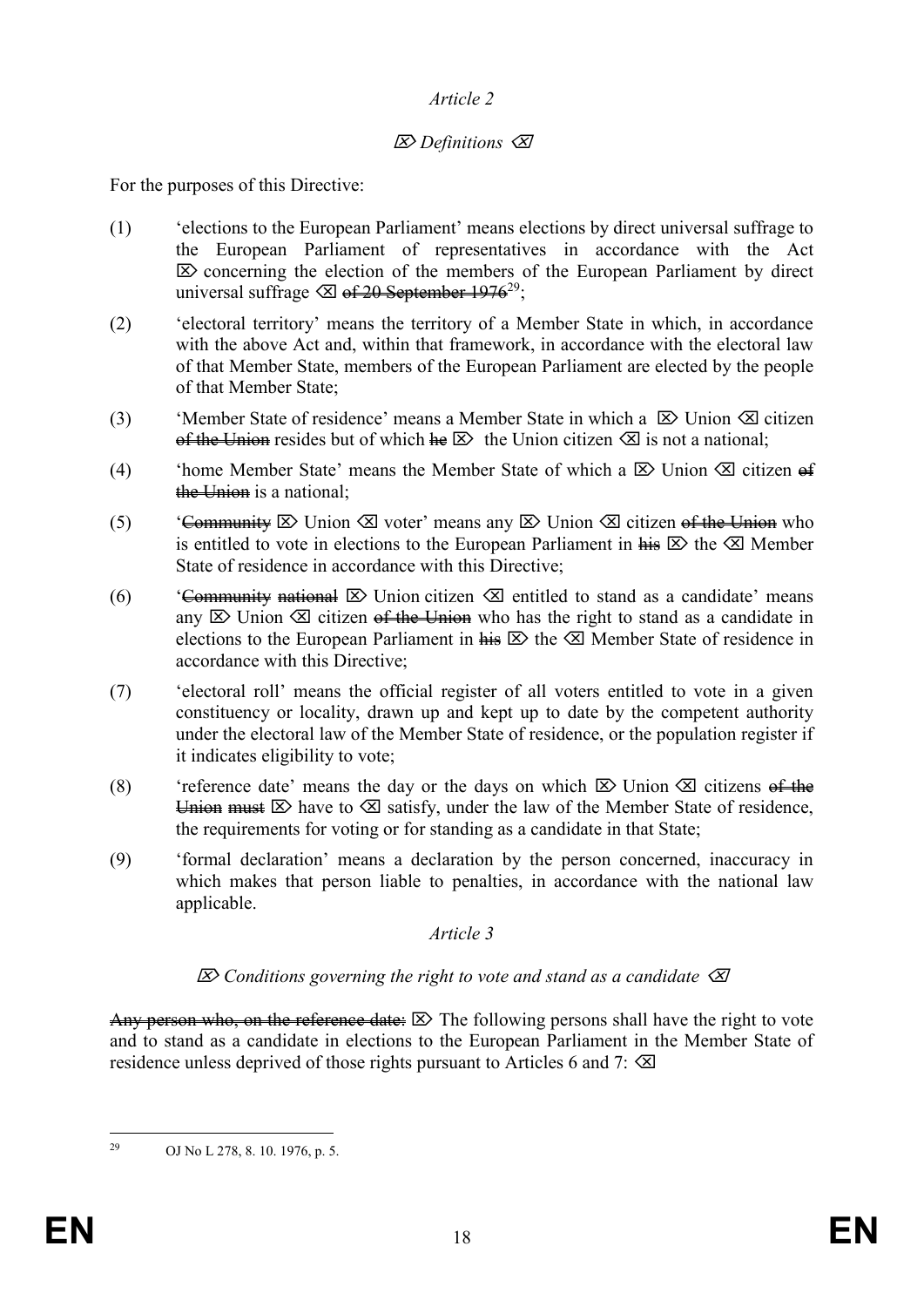#### *Article 2*

### *Definitions*

For the purposes of this Directive:

- (1) 'elections to the European Parliament' means elections by direct universal suffrage to the European Parliament of representatives in accordance with the Act  $\mathbb{Z}$  concerning the election of the members of the European Parliament by direct universal suffrage  $\otimes$  of 20 September 1976<sup>29</sup>;
- (2) 'electoral territory' means the territory of a Member State in which, in accordance with the above Act and, within that framework, in accordance with the electoral law of that Member State, members of the European Parliament are elected by the people of that Member State;
- (3) 'Member State of residence' means a Member State in which a  $\boxtimes$  Union  $\boxtimes$  citizen of the Union resides but of which  $\text{Re} \boxtimes$  the Union citizen  $\boxtimes$  is not a national:
- (4) 'home Member State' means the Member State of which a  $\boxtimes$  Union  $\boxtimes$  citizen of the Union is a national:
- (5) 'Community  $\boxtimes$  Union  $\boxtimes$  voter' means any  $\boxtimes$  Union  $\boxtimes$  citizen of the Union who is entitled to vote in elections to the European Parliament in  $\frac{1}{H} \boxtimes$  the  $\boxtimes$  Member State of residence in accordance with this Directive;
- (6) 'Community national  $\boxtimes$  Union citizen  $\boxtimes$  entitled to stand as a candidate' means any  $\boxtimes$  Union  $\boxtimes$  citizen <del>of the Union</del> who has the right to stand as a candidate in elections to the European Parliament in  $\overline{h}$   $\overline{e}$  the  $\overline{e}$  Member State of residence in accordance with this Directive;
- (7) 'electoral roll' means the official register of all voters entitled to vote in a given constituency or locality, drawn up and kept up to date by the competent authority under the electoral law of the Member State of residence, or the population register if it indicates eligibility to vote;
- (8) 'reference date' means the day or the days on which  $\boxtimes$  Union  $\boxtimes$  citizens of the Union must  $\boxtimes$  have to  $\boxtimes$  satisfy, under the law of the Member State of residence, the requirements for voting or for standing as a candidate in that State;
- (9) 'formal declaration' means a declaration by the person concerned, inaccuracy in which makes that person liable to penalties, in accordance with the national law applicable.

#### *Article 3*

#### *Conditions governing the right to vote and stand as a candidate*

Any person who, on the reference date:  $\boxtimes$  The following persons shall have the right to vote and to stand as a candidate in elections to the European Parliament in the Member State of residence unless deprived of those rights pursuant to Articles 6 and 7:  $\otimes$ 

<sup>29</sup> <sup>29</sup> OJ No L 278, 8. 10. 1976, p. 5.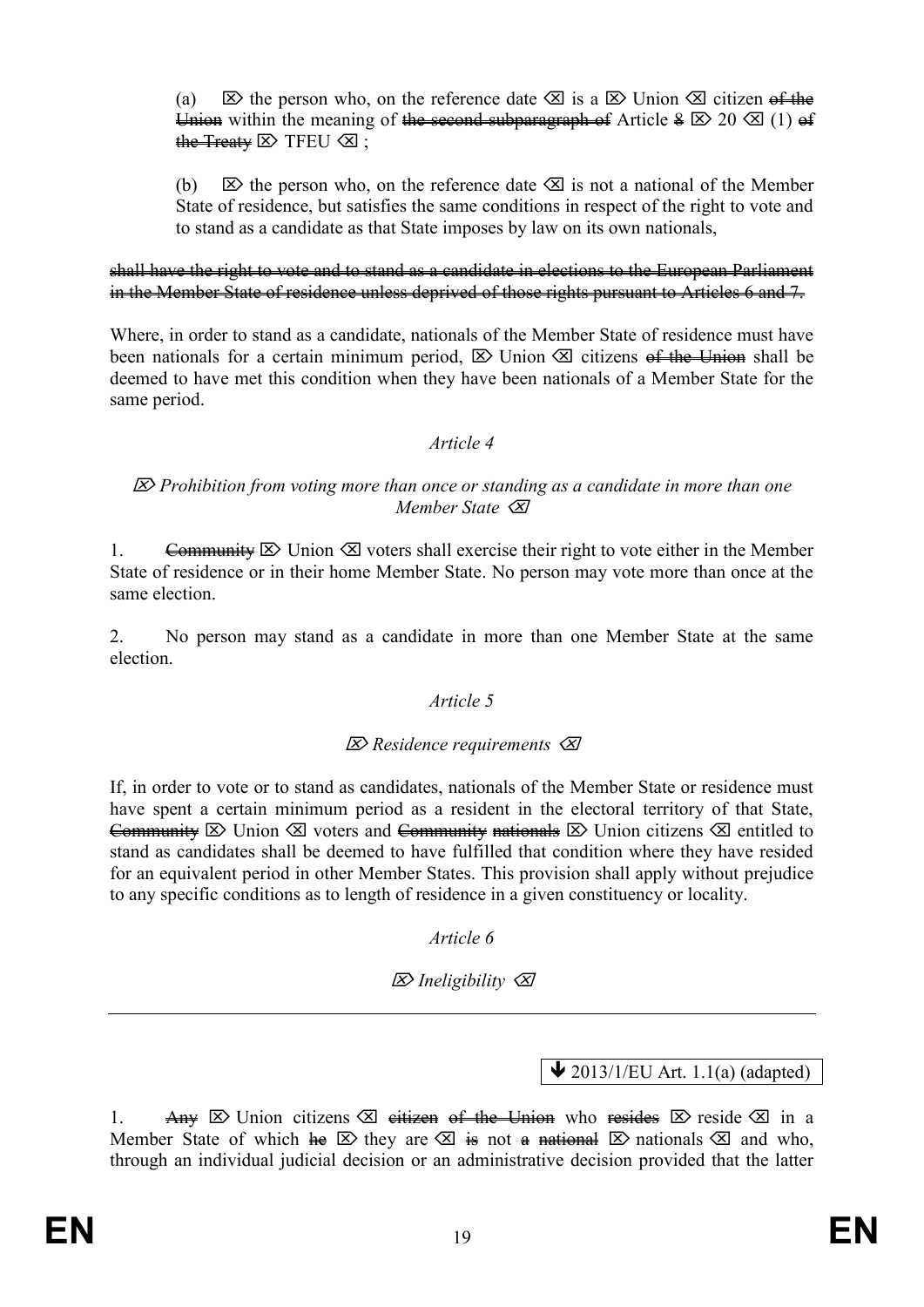(a)  $\boxtimes$  the person who, on the reference date  $\boxtimes$  is a  $\boxtimes$  Union  $\boxtimes$  citizen of the Union within the meaning of the second subparagraph of Article  $\frac{1}{2} \times 20 \times (1) +$ the Treaty  $\boxtimes$  TFEU  $\otimes$ ;

(b)  $\boxtimes$  the person who, on the reference date  $\boxtimes$  is not a national of the Member State of residence, but satisfies the same conditions in respect of the right to vote and to stand as a candidate as that State imposes by law on its own nationals,

#### shall have the right to vote and to stand as a candidate in elections to the European Parliament in the Member State of residence unless deprived of those rights pursuant to Articles 6 and 7.

Where, in order to stand as a candidate, nationals of the Member State of residence must have been nationals for a certain minimum period,  $\boxtimes$  Union  $\boxtimes$  citizens of the Union shall be deemed to have met this condition when they have been nationals of a Member State for the same period.

#### *Article 4*

#### *Prohibition from voting more than once or standing as a candidate in more than one Member State*

1. Community  $\boxtimes$  Union  $\boxtimes$  voters shall exercise their right to vote either in the Member State of residence or in their home Member State. No person may vote more than once at the same election.

2. No person may stand as a candidate in more than one Member State at the same election.

#### *Article 5*

#### *Residence requirements*

If, in order to vote or to stand as candidates, nationals of the Member State or residence must have spent a certain minimum period as a resident in the electoral territory of that State, Community  $\triangleright$  Union  $\trianglelefteq$  voters and Community nationals  $\triangleright$  Union citizens  $\trianglelefteq$  entitled to stand as candidates shall be deemed to have fulfilled that condition where they have resided for an equivalent period in other Member States. This provision shall apply without prejudice to any specific conditions as to length of residence in a given constituency or locality.

#### *Article 6*

*Ineligibility*

 $\bigvee$  2013/1/EU Art. 1.1(a) (adapted)

1. Any  $\boxtimes$  Union citizens  $\boxtimes$  eitizen of the Union who resides  $\boxtimes$  reside  $\boxtimes$  in a Member State of which  $\text{Re} \boxtimes$  they are  $\boxtimes$  is not a national  $\boxtimes$  nationals  $\boxtimes$  and who, through an individual judicial decision or an administrative decision provided that the latter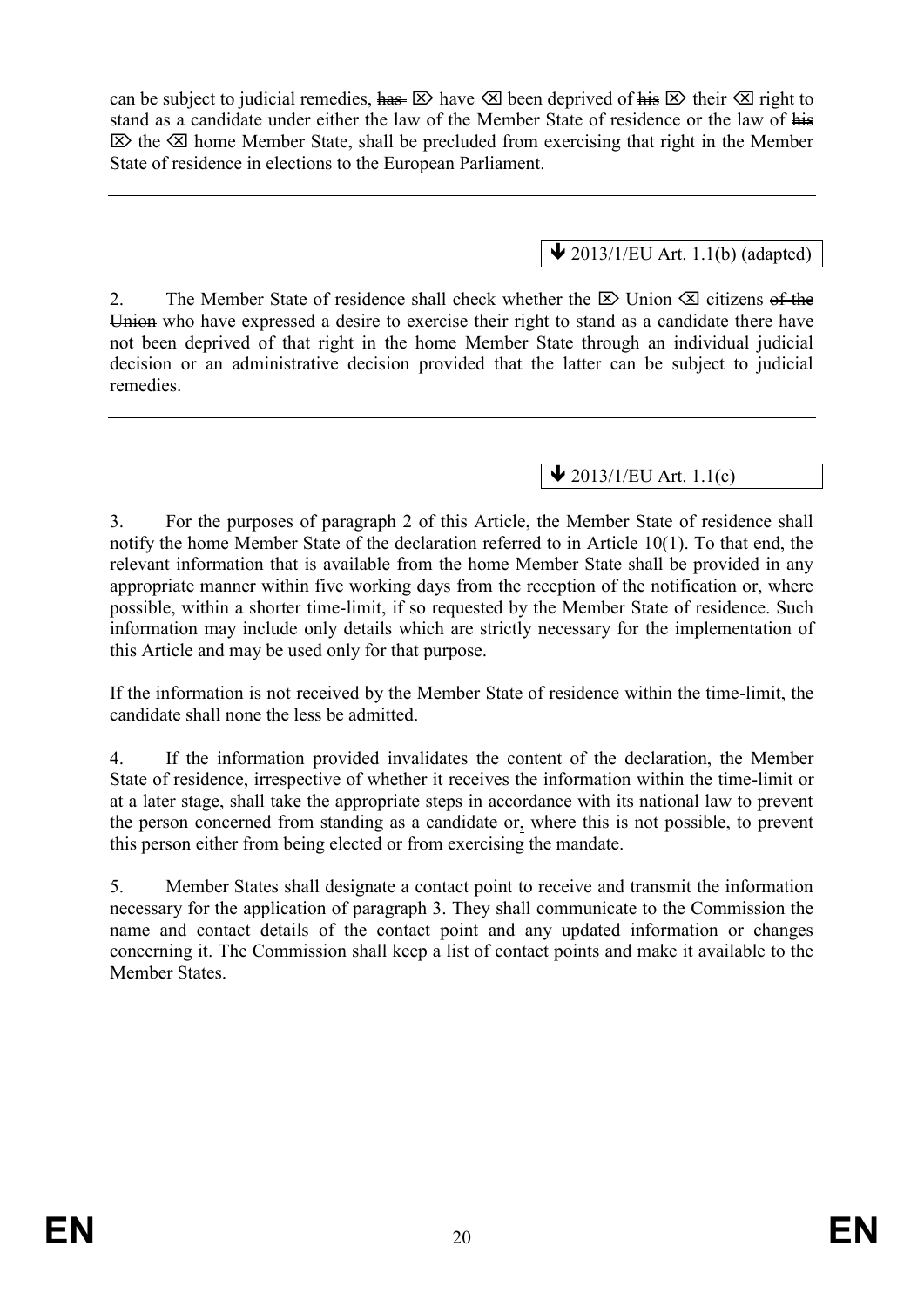can be subject to judicial remedies,  $\frac{\hbar a s}{\Delta}$  have  $\Delta$  been deprived of  $\frac{\hbar i s}{\Delta}$  their  $\Delta$  right to stand as a candidate under either the law of the Member State of residence or the law of his  $\boxtimes$  the  $\boxtimes$  home Member State, shall be precluded from exercising that right in the Member State of residence in elections to the European Parliament.

# $\bigvee$  2013/1/EU Art. 1.1(b) (adapted)

2. The Member State of residence shall check whether the  $\boxtimes$  Union  $\boxtimes$  citizens of the Union who have expressed a desire to exercise their right to stand as a candidate there have not been deprived of that right in the home Member State through an individual judicial decision or an administrative decision provided that the latter can be subject to judicial remedies.

 $\bigvee$  2013/1/EU Art. 1.1(c)

3. For the purposes of paragraph 2 of this Article, the Member State of residence shall notify the home Member State of the declaration referred to in Article 10(1). To that end, the relevant information that is available from the home Member State shall be provided in any appropriate manner within five working days from the reception of the notification or, where possible, within a shorter time-limit, if so requested by the Member State of residence. Such information may include only details which are strictly necessary for the implementation of this Article and may be used only for that purpose.

If the information is not received by the Member State of residence within the time-limit, the candidate shall none the less be admitted.

4. If the information provided invalidates the content of the declaration, the Member State of residence, irrespective of whether it receives the information within the time-limit or at a later stage, shall take the appropriate steps in accordance with its national law to prevent the person concerned from standing as a candidate or, where this is not possible, to prevent this person either from being elected or from exercising the mandate.

5. Member States shall designate a contact point to receive and transmit the information necessary for the application of paragraph 3. They shall communicate to the Commission the name and contact details of the contact point and any updated information or changes concerning it. The Commission shall keep a list of contact points and make it available to the Member States.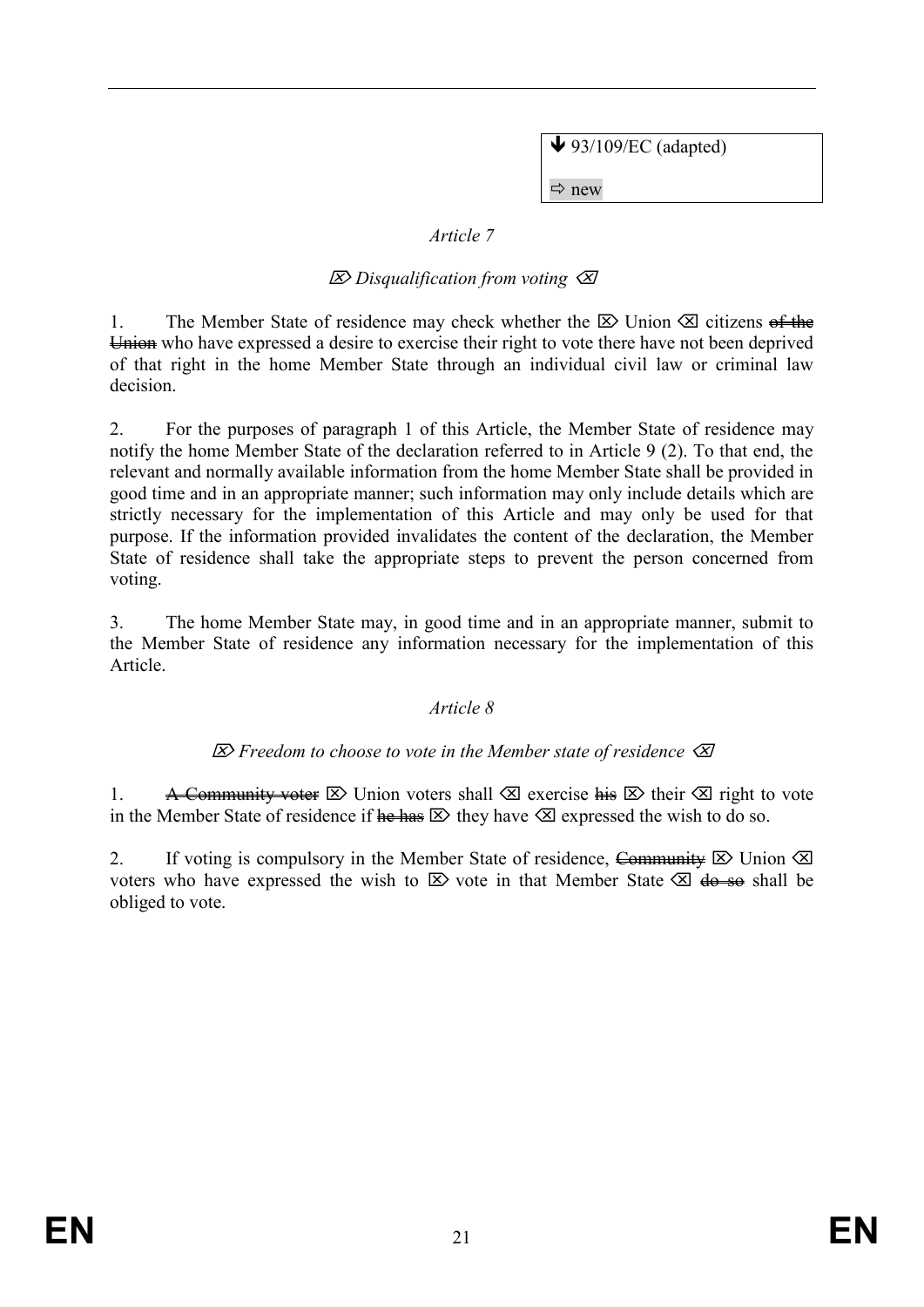$\blacktriangleright$  93/109/EC (adapted)

 $\Rightarrow$  new

### *Article 7*

# *Disqualification from voting*

1. The Member State of residence may check whether the  $\boxtimes$  Union  $\boxtimes$  citizens of the Union who have expressed a desire to exercise their right to vote there have not been deprived of that right in the home Member State through an individual civil law or criminal law decision.

2. For the purposes of paragraph 1 of this Article, the Member State of residence may notify the home Member State of the declaration referred to in Article 9 (2). To that end, the relevant and normally available information from the home Member State shall be provided in good time and in an appropriate manner; such information may only include details which are strictly necessary for the implementation of this Article and may only be used for that purpose. If the information provided invalidates the content of the declaration, the Member State of residence shall take the appropriate steps to prevent the person concerned from voting.

3. The home Member State may, in good time and in an appropriate manner, submit to the Member State of residence any information necessary for the implementation of this Article.

#### *Article 8*

#### *Freedom to choose to vote in the Member state of residence*

1. A Community voter  $\boxtimes$  Union voters shall  $\boxtimes$  exercise his  $\boxtimes$  their  $\boxtimes$  right to vote in the Member State of residence if  $\frac{\partial \mathbf{F}}{\partial \mathbf{F}}$  hey have  $\mathbf{\otimes}$  expressed the wish to do so.

2. If voting is compulsory in the Member State of residence, Community  $\boxtimes$  Union  $\boxtimes$ voters who have expressed the wish to  $\boxtimes$  vote in that Member State  $\boxtimes$  do so shall be obliged to vote.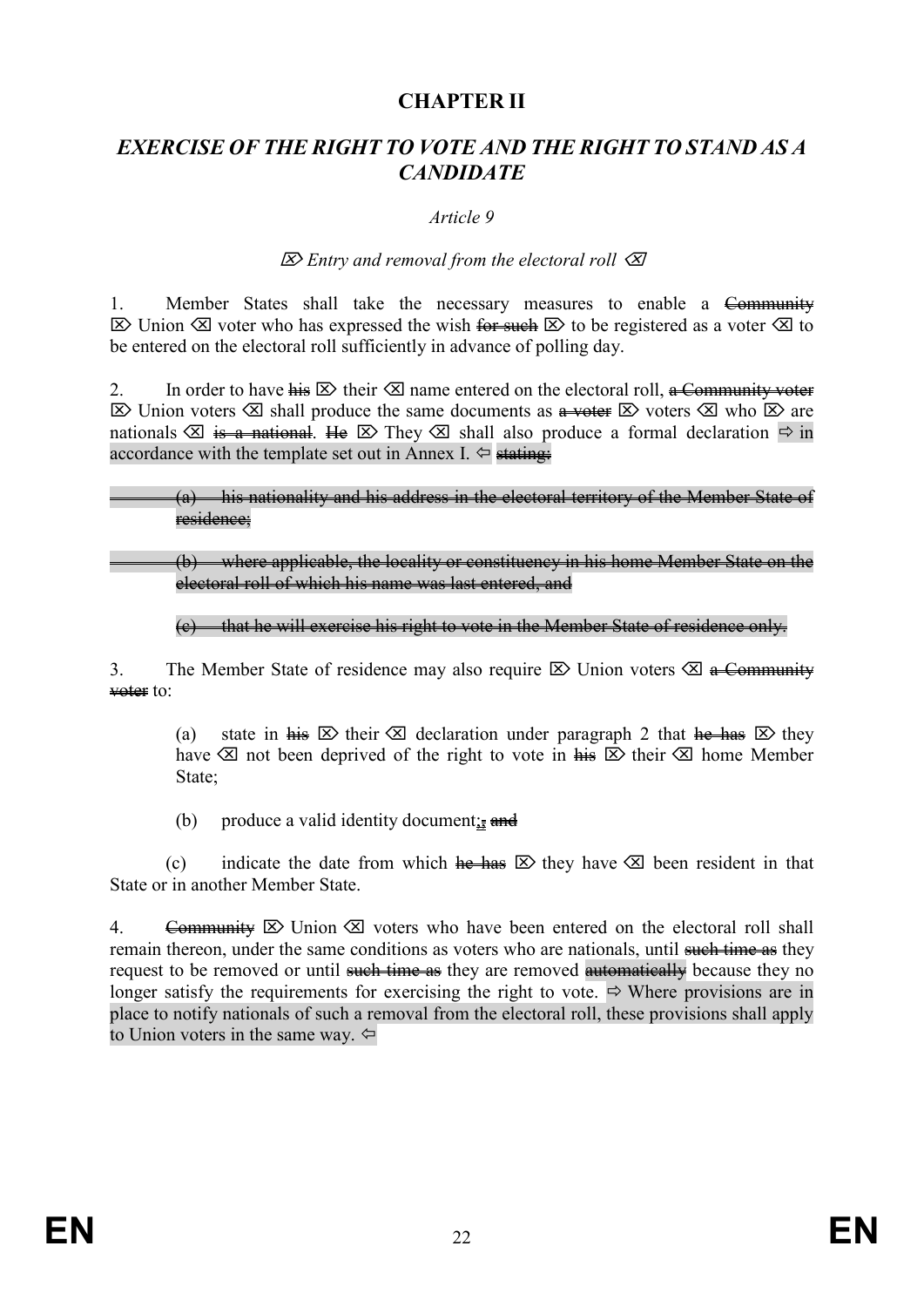# **CHAPTER II**

# *EXERCISE OF THE RIGHT TO VOTE AND THE RIGHT TO STAND AS A CANDIDATE*

#### *Article 9*

#### *Entry and removal from the electoral roll*

1. Member States shall take the necessary measures to enable a Community  $\boxtimes$  Union  $\boxtimes$  voter who has expressed the wish for such  $\boxtimes$  to be registered as a voter  $\boxtimes$  to be entered on the electoral roll sufficiently in advance of polling day.

2. In order to have  $\overline{h}$  their  $\otimes$  name entered on the electoral roll, a Community voter  $\boxtimes$  Union voters  $\boxtimes$  shall produce the same documents as  $\frac{a}{a}$  voters  $\boxtimes$  who  $\boxtimes$  are nationals  $\otimes$  is a national. He  $\otimes$  They  $\otimes$  shall also produce a formal declaration  $\Rightarrow$  in accordance with the template set out in Annex I.  $\Leftrightarrow$  stating:

#### (a) his nationality and his address in the electoral territory of the Member State of residence;

#### (b) where applicable, the locality or constituency in his home Member State on the electoral roll of which his name was last entered, and

#### (c) that he will exercise his right to vote in the Member State of residence only.

3. The Member State of residence may also require  $\boxtimes$  Union voters  $\boxtimes$  a Community voter to:

(a) state in  $\overline{h}$  is  $\overline{\otimes}$  their  $\overline{\otimes}$  declaration under paragraph 2 that  $\overline{h}$  thes  $\overline{\otimes}$  they have  $\otimes$  not been deprived of the right to vote in  $\frac{1}{n+1} \otimes$  their  $\otimes$  home Member State;

(b) produce a valid identity document;  $\frac{1}{2}$  and

(c) indicate the date from which he has  $\boxtimes$  they have  $\boxtimes$  been resident in that State or in another Member State.

4. Community  $\boxtimes$  Union  $\boxtimes$  voters who have been entered on the electoral roll shall remain thereon, under the same conditions as voters who are nationals, until such time as they request to be removed or until such time as they are removed automatically because they no longer satisfy the requirements for exercising the right to vote.  $\Rightarrow$  Where provisions are in place to notify nationals of such a removal from the electoral roll, these provisions shall apply to Union voters in the same way.  $\Leftrightarrow$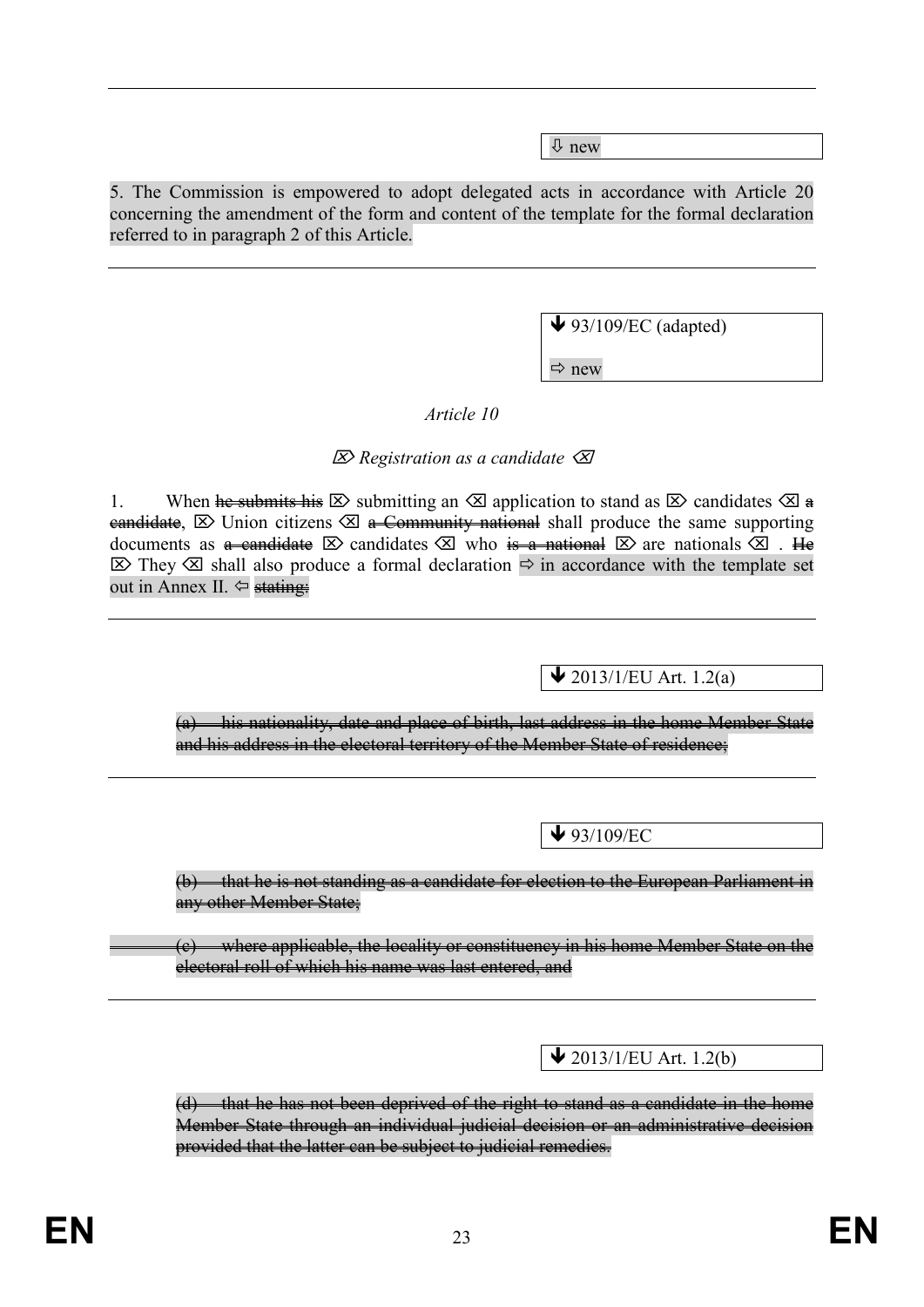new

5. The Commission is empowered to adopt delegated acts in accordance with Article 20 concerning the amendment of the form and content of the template for the formal declaration referred to in paragraph 2 of this Article.

 $\blacklozenge$  93/109/EC (adapted)

 $\Rightarrow$  new

*Article 10*

### *Registration as a candidate*

1. When he submits his  $\boxtimes$  submitting an  $\boxtimes$  application to stand as  $\boxtimes$  candidates  $\boxtimes$  a eandidate,  $\boxtimes$  Union citizens  $\boxtimes$  a Community national shall produce the same supporting documents as a candidate  $\boxtimes$  candidates  $\boxtimes$  who is a national  $\boxtimes$  are nationals  $\boxtimes$ . He  $\triangleright$  They  $\triangleright$  shall also produce a formal declaration  $\Rightarrow$  in accordance with the template set out in Annex II.  $\Leftrightarrow$  stating:

 $\bigvee$  2013/1/EU Art. 1.2(a)

(a) his nationality, date and place of birth, last address in the home Member State and his address in the electoral territory of the Member State of residence;

 $\blacktriangleright$  93/109/EC

(b) that he is not standing as a candidate for election to the European Parliament in any other Member State;

(c) where applicable, the locality or constituency in his home Member State on the electoral roll of which his name was last entered, and

 $\bigvee$  2013/1/EU Art. 1.2(b)

(d) that he has not been deprived of the right to stand as a candidate in the home Member State through an individual judicial decision or an administrative decision provided that the latter can be subject to judicial remedies.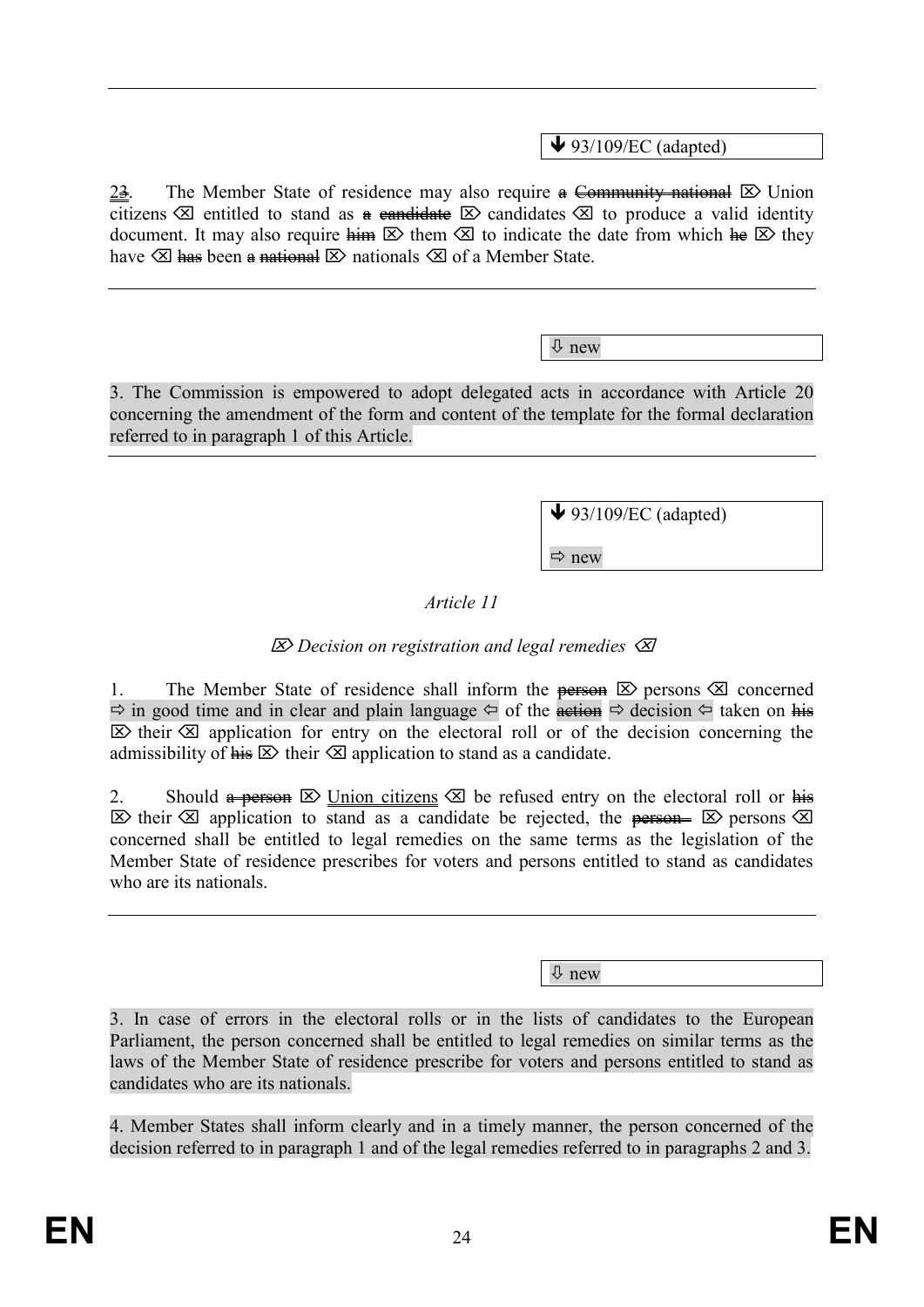$\blacktriangleright$  93/109/EC (adapted)

 $2\frac{3}{2}$ . The Member State of residence may also require a Community national  $\boxtimes$  Union citizens  $\otimes$  entitled to stand as a candidate  $\otimes$  candidates  $\otimes$  to produce a valid identity document. It may also require  $\lim_{n \to \infty} \mathbb{E}$  them  $\mathbb{E}$  to indicate the date from which  $\lim_{n \to \infty} \mathbb{E}$  they have  $\otimes$  has been a national  $\otimes$  nationals  $\otimes$  of a Member State.

new

3. The Commission is empowered to adopt delegated acts in accordance with Article 20 concerning the amendment of the form and content of the template for the formal declaration referred to in paragraph 1 of this Article.

 $\blacktriangleright$  93/109/EC (adapted)

 $\Rightarrow$  new

*Article 11*

# *Decision on registration and legal remedies*

1. The Member State of residence shall inform the **person**  $\boxtimes$  persons  $\boxtimes$  concerned  $\Rightarrow$  in good time and in clear and plain language  $\Leftrightarrow$  of the action  $\Leftrightarrow$  decision  $\Leftrightarrow$  taken on his  $\boxtimes$  their  $\boxtimes$  application for entry on the electoral roll or of the decision concerning the admissibility of  $\overline{h}$   $\overline{\mathbf{s}}$  their  $\overline{\mathbf{s}}$  application to stand as a candidate.

2. Should  $\ast$  person  $\boxtimes$  Union citizens  $\boxtimes$  be refused entry on the electoral roll or his  $\boxtimes$  their  $\boxtimes$  application to stand as a candidate be rejected, the person-  $\boxtimes$  persons  $\boxtimes$ concerned shall be entitled to legal remedies on the same terms as the legislation of the Member State of residence prescribes for voters and persons entitled to stand as candidates who are its nationals.

new

3. In case of errors in the electoral rolls or in the lists of candidates to the European Parliament, the person concerned shall be entitled to legal remedies on similar terms as the laws of the Member State of residence prescribe for voters and persons entitled to stand as candidates who are its nationals.

4. Member States shall inform clearly and in a timely manner, the person concerned of the decision referred to in paragraph 1 and of the legal remedies referred to in paragraphs 2 and 3.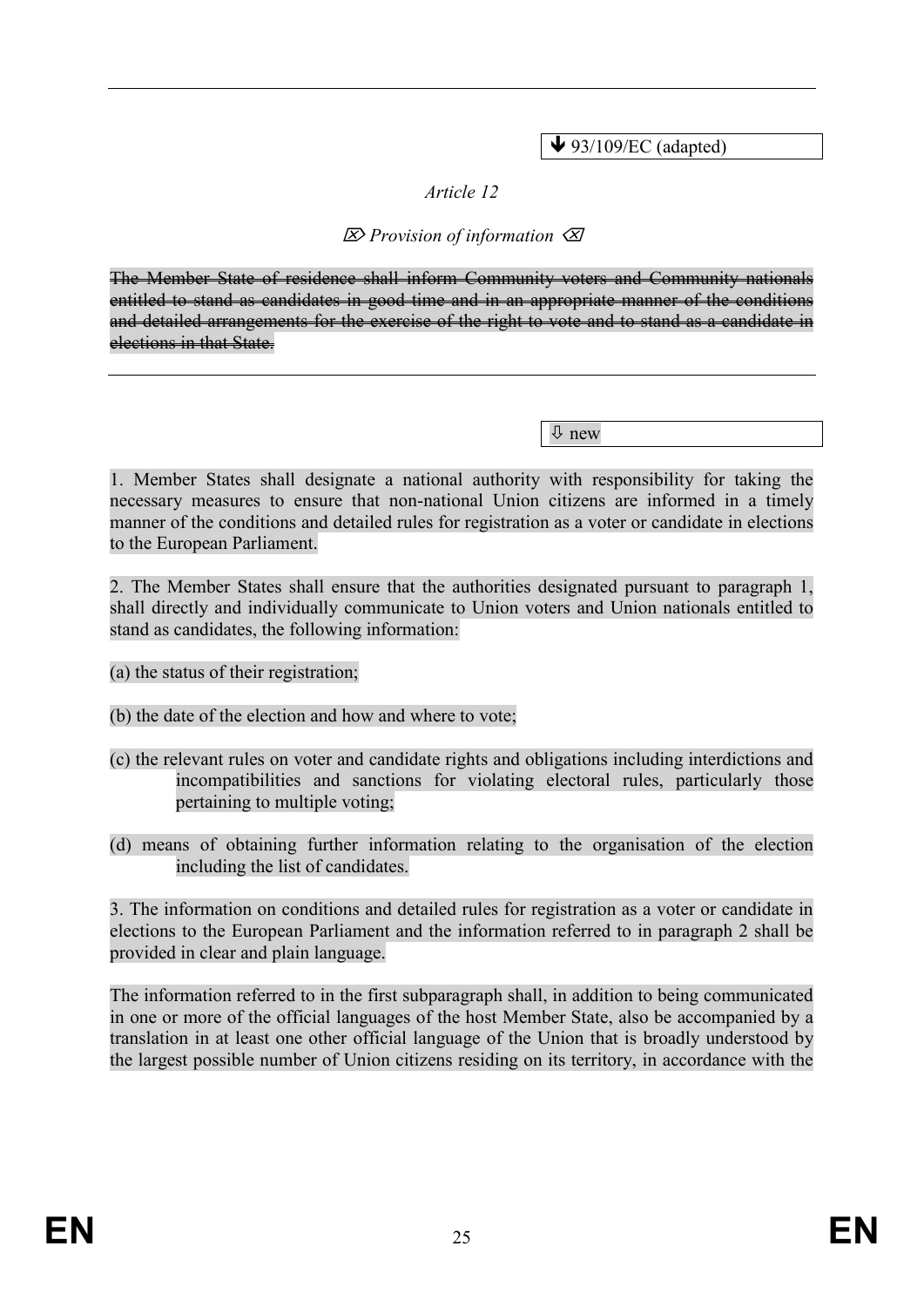$\blacktriangleright$  93/109/EC (adapted)

# *Article 12*

# *Provision of information*

The Member State of residence shall inform Community voters and Community nationals entitled to stand as candidates in good time and in an appropriate manner of the conditions and detailed arrangements for the exercise of the right to vote and to stand as a candidate in elections in that State.

new

1. Member States shall designate a national authority with responsibility for taking the necessary measures to ensure that non-national Union citizens are informed in a timely manner of the conditions and detailed rules for registration as a voter or candidate in elections to the European Parliament.

2. The Member States shall ensure that the authorities designated pursuant to paragraph 1, shall directly and individually communicate to Union voters and Union nationals entitled to stand as candidates, the following information:

(a) the status of their registration;

(b) the date of the election and how and where to vote;

- (c) the relevant rules on voter and candidate rights and obligations including interdictions and incompatibilities and sanctions for violating electoral rules, particularly those pertaining to multiple voting;
- (d) means of obtaining further information relating to the organisation of the election including the list of candidates.

3. The information on conditions and detailed rules for registration as a voter or candidate in elections to the European Parliament and the information referred to in paragraph 2 shall be provided in clear and plain language.

The information referred to in the first subparagraph shall, in addition to being communicated in one or more of the official languages of the host Member State, also be accompanied by a translation in at least one other official language of the Union that is broadly understood by the largest possible number of Union citizens residing on its territory, in accordance with the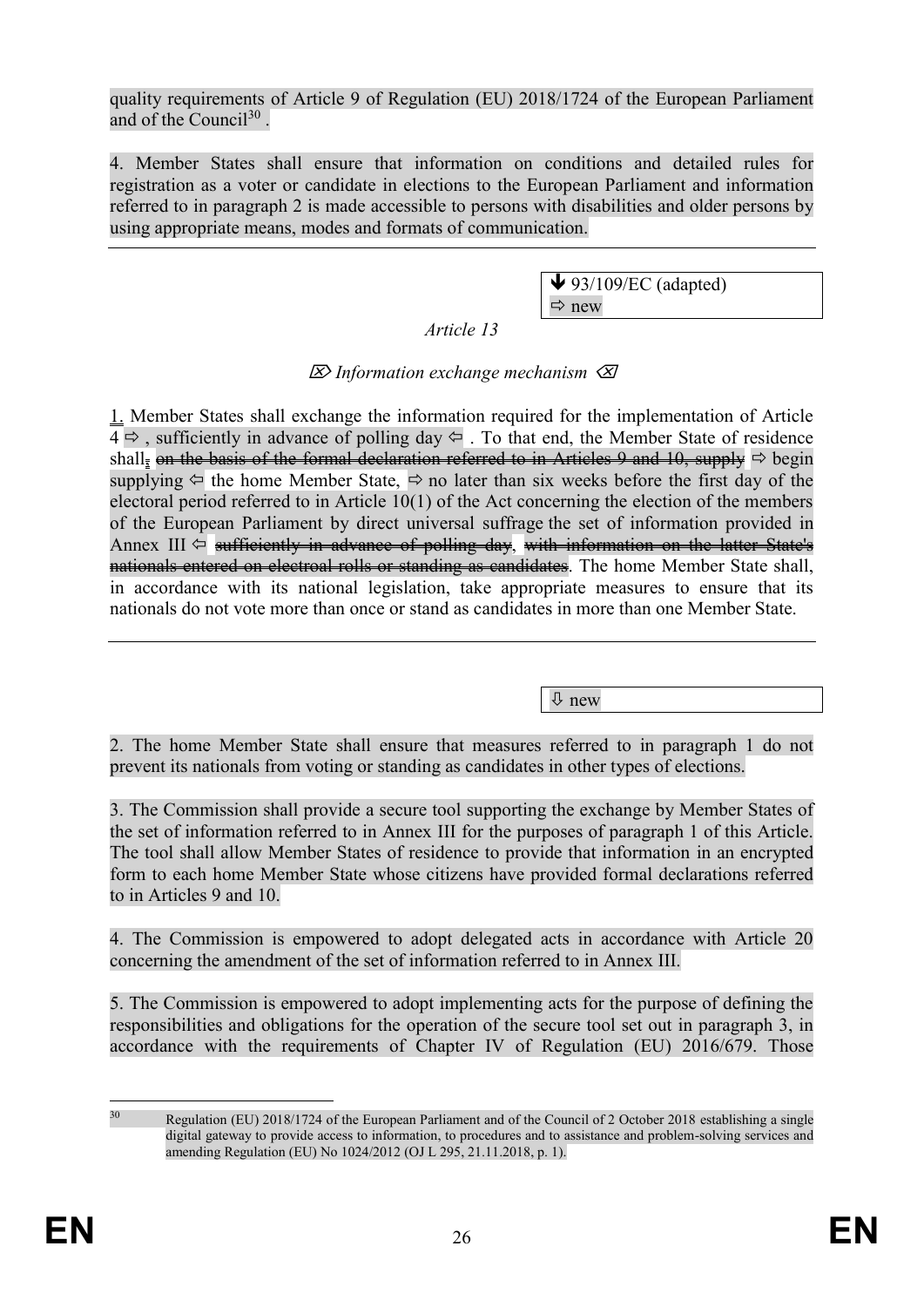quality requirements of Article 9 of Regulation (EU) 2018/1724 of the European Parliament and of the Council<sup>30</sup>.

4. Member States shall ensure that information on conditions and detailed rules for registration as a voter or candidate in elections to the European Parliament and information referred to in paragraph 2 is made accessible to persons with disabilities and older persons by using appropriate means, modes and formats of communication.

> $\blacktriangleright$  93/109/EC (adapted)  $\Rightarrow$  new

*Article 13*

# *Information exchange mechanism*

1. Member States shall exchange the information required for the implementation of Article  $4 \Rightarrow$ , sufficiently in advance of polling day  $\Leftarrow$ . To that end, the Member State of residence shall, on the basis of the formal declaration referred to in Articles 9 and 10, supply  $\Rightarrow$  begin supplying  $\Leftarrow$  the home Member State,  $\Rightarrow$  no later than six weeks before the first day of the electoral period referred to in Article 10(1) of the Act concerning the election of the members of the European Parliament by direct universal suffrage the set of information provided in Annex III  $\Leftrightarrow$  sufficiently in advance of polling day, with information on the latter State's nationals entered on electroal rolls or standing as candidates. The home Member State shall, in accordance with its national legislation, take appropriate measures to ensure that its nationals do not vote more than once or stand as candidates in more than one Member State.

new

2. The home Member State shall ensure that measures referred to in paragraph 1 do not prevent its nationals from voting or standing as candidates in other types of elections.

3. The Commission shall provide a secure tool supporting the exchange by Member States of the set of information referred to in Annex III for the purposes of paragraph 1 of this Article. The tool shall allow Member States of residence to provide that information in an encrypted form to each home Member State whose citizens have provided formal declarations referred to in Articles 9 and 10.

4. The Commission is empowered to adopt delegated acts in accordance with Article 20 concerning the amendment of the set of information referred to in Annex III.

5. The Commission is empowered to adopt implementing acts for the purpose of defining the responsibilities and obligations for the operation of the secure tool set out in paragraph 3, in accordance with the requirements of Chapter IV of Regulation (EU) 2016/679. Those

<sup>&</sup>lt;u>.</u> <sup>30</sup> Regulation (EU) 2018/1724 of the European Parliament and of the Council of 2 October 2018 establishing a single digital gateway to provide access to information, to procedures and to assistance and problem-solving services and amending Regulation (EU) No 1024/2012 (OJ L 295, 21.11.2018, p. 1).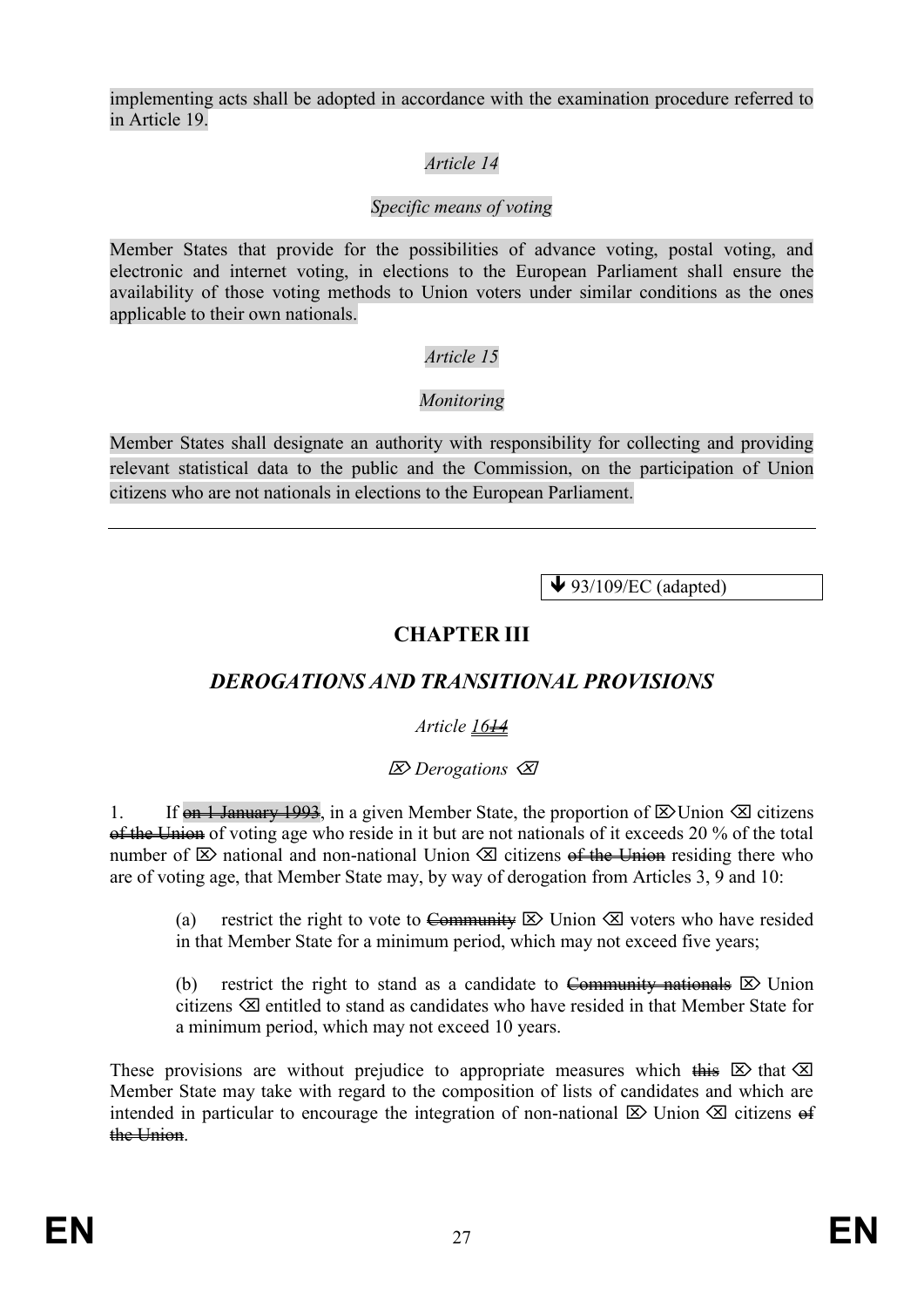implementing acts shall be adopted in accordance with the examination procedure referred to in Article 19.

# *Article 14*

# *Specific means of voting*

Member States that provide for the possibilities of advance voting, postal voting, and electronic and internet voting, in elections to the European Parliament shall ensure the availability of those voting methods to Union voters under similar conditions as the ones applicable to their own nationals.

# *Article 15*

# *Monitoring*

Member States shall designate an authority with responsibility for collecting and providing relevant statistical data to the public and the Commission, on the participation of Union citizens who are not nationals in elections to the European Parliament.

 $\blacklozenge$  93/109/EC (adapted)

# **CHAPTER III**

# *DEROGATIONS AND TRANSITIONAL PROVISIONS*

# *Article 1614*

# *Derogations*

1. If on 1 January 1993, in a given Member State, the proportion of  $\boxtimes$  Union  $\boxtimes$  citizens of the Union of voting age who reside in it but are not nationals of it exceeds 20 % of the total number of  $\boxtimes$  national and non-national Union  $\boxtimes$  citizens of the Union residing there who are of voting age, that Member State may, by way of derogation from Articles 3, 9 and 10:

(a) restrict the right to vote to Community  $\boxtimes$  Union  $\boxtimes$  voters who have resided in that Member State for a minimum period, which may not exceed five years;

(b) restrict the right to stand as a candidate to Community nationals  $\boxtimes$  Union citizens  $\otimes$  entitled to stand as candidates who have resided in that Member State for a minimum period, which may not exceed 10 years.

These provisions are without prejudice to appropriate measures which this  $\boxtimes$  that  $\boxtimes$ Member State may take with regard to the composition of lists of candidates and which are intended in particular to encourage the integration of non-national  $\boxtimes$  Union  $\boxtimes$  citizens of the Union.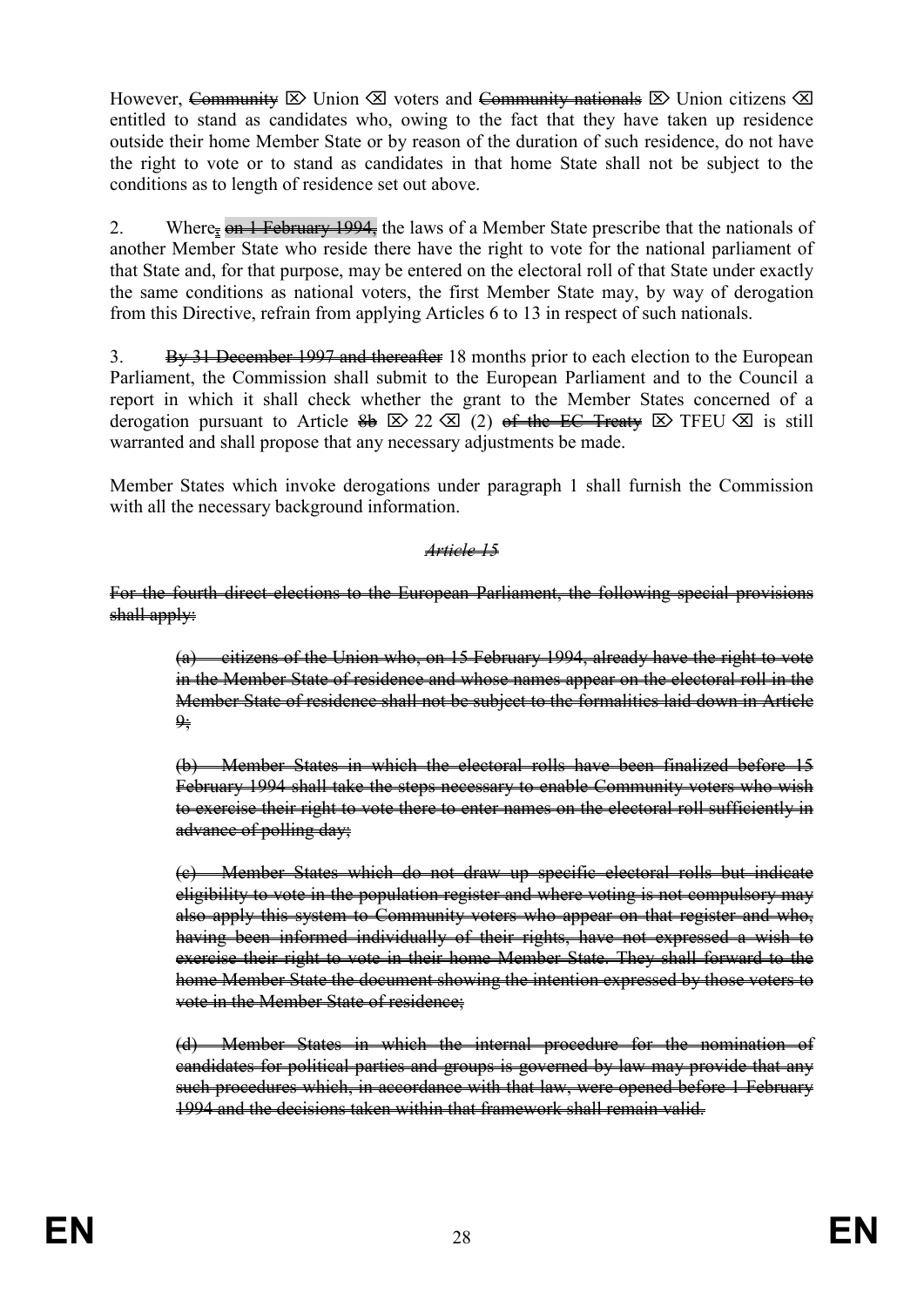However, Community  $\boxtimes$  Union  $\boxtimes$  voters and Community nationals  $\boxtimes$  Union citizens  $\boxtimes$ entitled to stand as candidates who, owing to the fact that they have taken up residence outside their home Member State or by reason of the duration of such residence, do not have the right to vote or to stand as candidates in that home State shall not be subject to the conditions as to length of residence set out above.

2. Where<sub> $\bar{x}$ </sub> on 1 February 1994, the laws of a Member State prescribe that the nationals of another Member State who reside there have the right to vote for the national parliament of that State and, for that purpose, may be entered on the electoral roll of that State under exactly the same conditions as national voters, the first Member State may, by way of derogation from this Directive, refrain from applying Articles 6 to 13 in respect of such nationals.

3. By 31 December 1997 and thereafter 18 months prior to each election to the European Parliament, the Commission shall submit to the European Parliament and to the Council a report in which it shall check whether the grant to the Member States concerned of a derogation pursuant to Article  $\frac{2}{9}$   $\boxtimes$  22  $\boxtimes$  (2) <del>of the EC Treaty</del>  $\boxtimes$  TFEU  $\boxtimes$  is still warranted and shall propose that any necessary adjustments be made.

Member States which invoke derogations under paragraph 1 shall furnish the Commission with all the necessary background information.

*Article 15*

For the fourth direct elections to the European Parliament, the following special provisions shall apply:

(a) citizens of the Union who, on 15 February 1994, already have the right to vote in the Member State of residence and whose names appear on the electoral roll in the Member State of residence shall not be subject to the formalities laid down in Article  $\frac{\mathbf{Q} \cdot \mathbf{B}}{\mathbf{Q} \cdot \mathbf{B}}$ 

(b) Member States in which the electoral rolls have been finalized before 15 February 1994 shall take the steps necessary to enable Community voters who wish to exercise their right to vote there to enter names on the electoral roll sufficiently in advance of polling day;

(c) Member States which do not draw up specific electoral rolls but indicate eligibility to vote in the population register and where voting is not compulsory may also apply this system to Community voters who appear on that register and who, having been informed individually of their rights, have not expressed a wish to exercise their right to vote in their home Member State. They shall forward to the home Member State the document showing the intention expressed by those voters to vote in the Member State of residence:

(d) Member States in which the internal procedure for the nomination of candidates for political parties and groups is governed by law may provide that any such procedures which, in accordance with that law, were opened before 1 February 1994 and the decisions taken within that framework shall remain valid.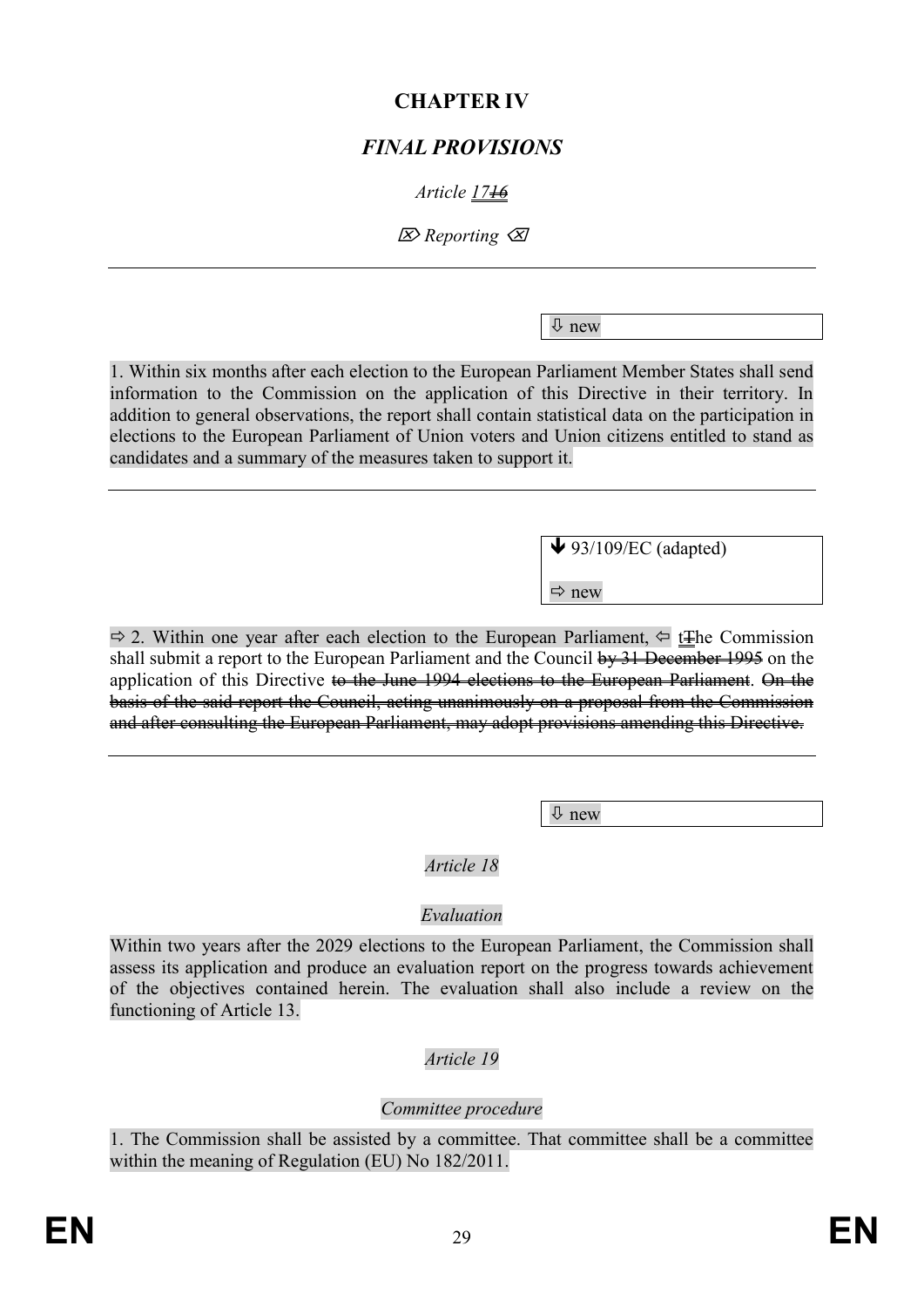# **CHAPTER IV**

# *FINAL PROVISIONS*

# *Article 1716*

*Reporting*

new

1. Within six months after each election to the European Parliament Member States shall send information to the Commission on the application of this Directive in their territory. In addition to general observations, the report shall contain statistical data on the participation in elections to the European Parliament of Union voters and Union citizens entitled to stand as candidates and a summary of the measures taken to support it.

 $\blacktriangleright$  93/109/EC (adapted)

 $\Rightarrow$  new

 $\Rightarrow$  2. Within one year after each election to the European Parliament,  $\Leftarrow$  t<del>The</del> Commission shall submit a report to the European Parliament and the Council by 31 December 1995 on the application of this Directive to the June 1994 elections to the European Parliament. On the basis of the said report the Council, acting unanimously on a proposal from the Commission and after consulting the European Parliament, may adopt provisions amending this Directive.

 $\theta$  new

# *Article 18*

# *Evaluation*

Within two years after the 2029 elections to the European Parliament, the Commission shall assess its application and produce an evaluation report on the progress towards achievement of the objectives contained herein. The evaluation shall also include a review on the functioning of Article 13.

# *Article 19*

# *Committee procedure*

1. The Commission shall be assisted by a committee. That committee shall be a committee within the meaning of Regulation (EU) No 182/2011.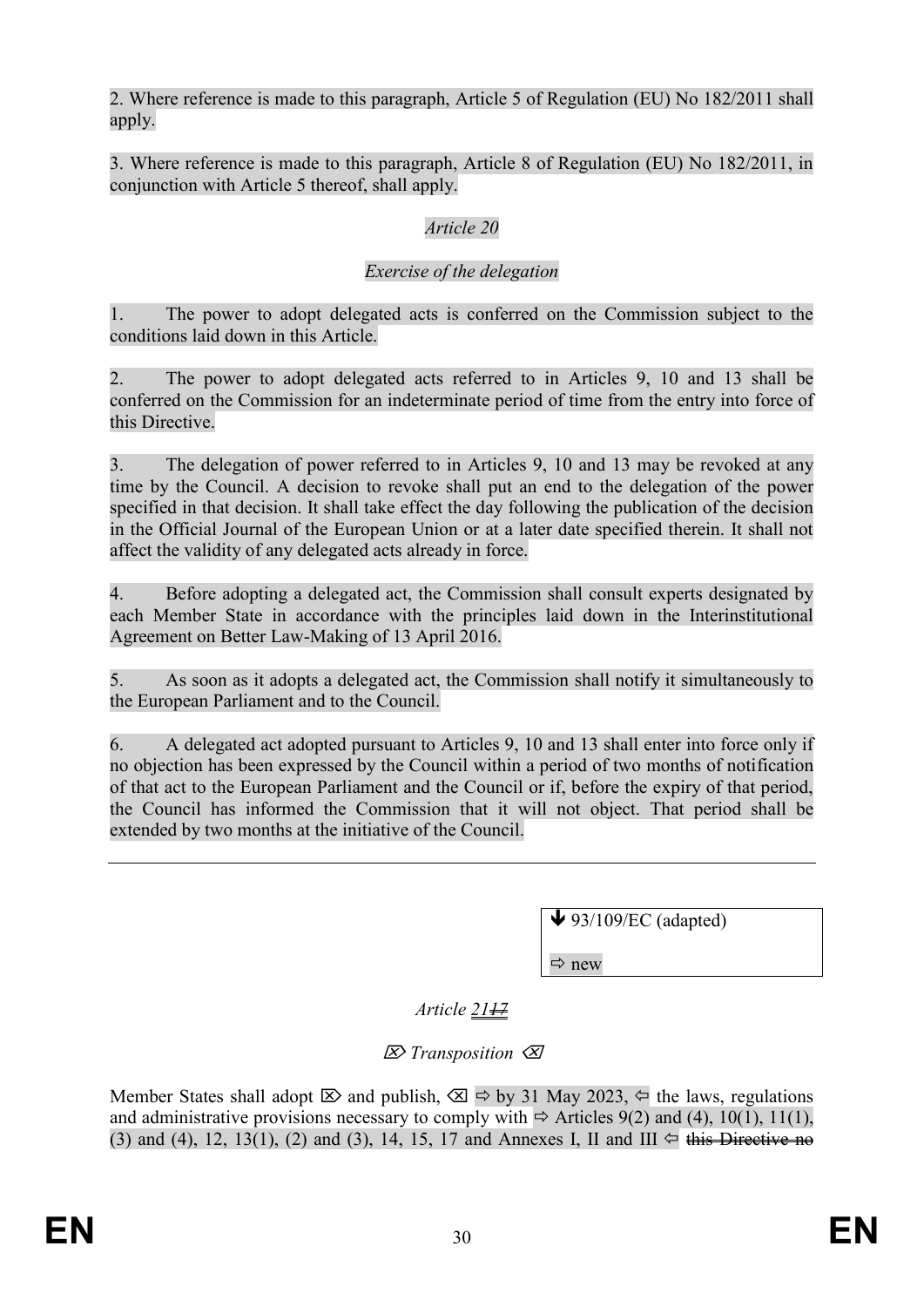2. Where reference is made to this paragraph, Article 5 of Regulation (EU) No 182/2011 shall apply.

3. Where reference is made to this paragraph, Article 8 of Regulation (EU) No 182/2011, in conjunction with Article 5 thereof, shall apply.

# *Article 20*

### *Exercise of the delegation*

1. The power to adopt delegated acts is conferred on the Commission subject to the conditions laid down in this Article.

2. The power to adopt delegated acts referred to in Articles 9, 10 and 13 shall be conferred on the Commission for an indeterminate period of time from the entry into force of this Directive.

3. The delegation of power referred to in Articles 9, 10 and 13 may be revoked at any time by the Council. A decision to revoke shall put an end to the delegation of the power specified in that decision. It shall take effect the day following the publication of the decision in the Official Journal of the European Union or at a later date specified therein. It shall not affect the validity of any delegated acts already in force.

4. Before adopting a delegated act, the Commission shall consult experts designated by each Member State in accordance with the principles laid down in the Interinstitutional Agreement on Better Law-Making of 13 April 2016.

5. As soon as it adopts a delegated act, the Commission shall notify it simultaneously to the European Parliament and to the Council.

6. A delegated act adopted pursuant to Articles 9, 10 and 13 shall enter into force only if no objection has been expressed by the Council within a period of two months of notification of that act to the European Parliament and the Council or if, before the expiry of that period, the Council has informed the Commission that it will not object. That period shall be extended by two months at the initiative of the Council.

 $\blacktriangleright$  93/109/EC (adapted)

 $\Rightarrow$  new

*Article* 21<sup>17</sup>

*Transposition*

Member States shall adopt  $\boxtimes$  and publish,  $\boxtimes \Rightarrow$  by 31 May 2023,  $\Leftrightarrow$  the laws, regulations and administrative provisions necessary to comply with  $\Rightarrow$  Articles 9(2) and (4), 10(1), 11(1), (3) and (4), 12, 13(1), (2) and (3), 14, 15, 17 and Annexes I, II and III  $\Leftrightarrow$  this Directive no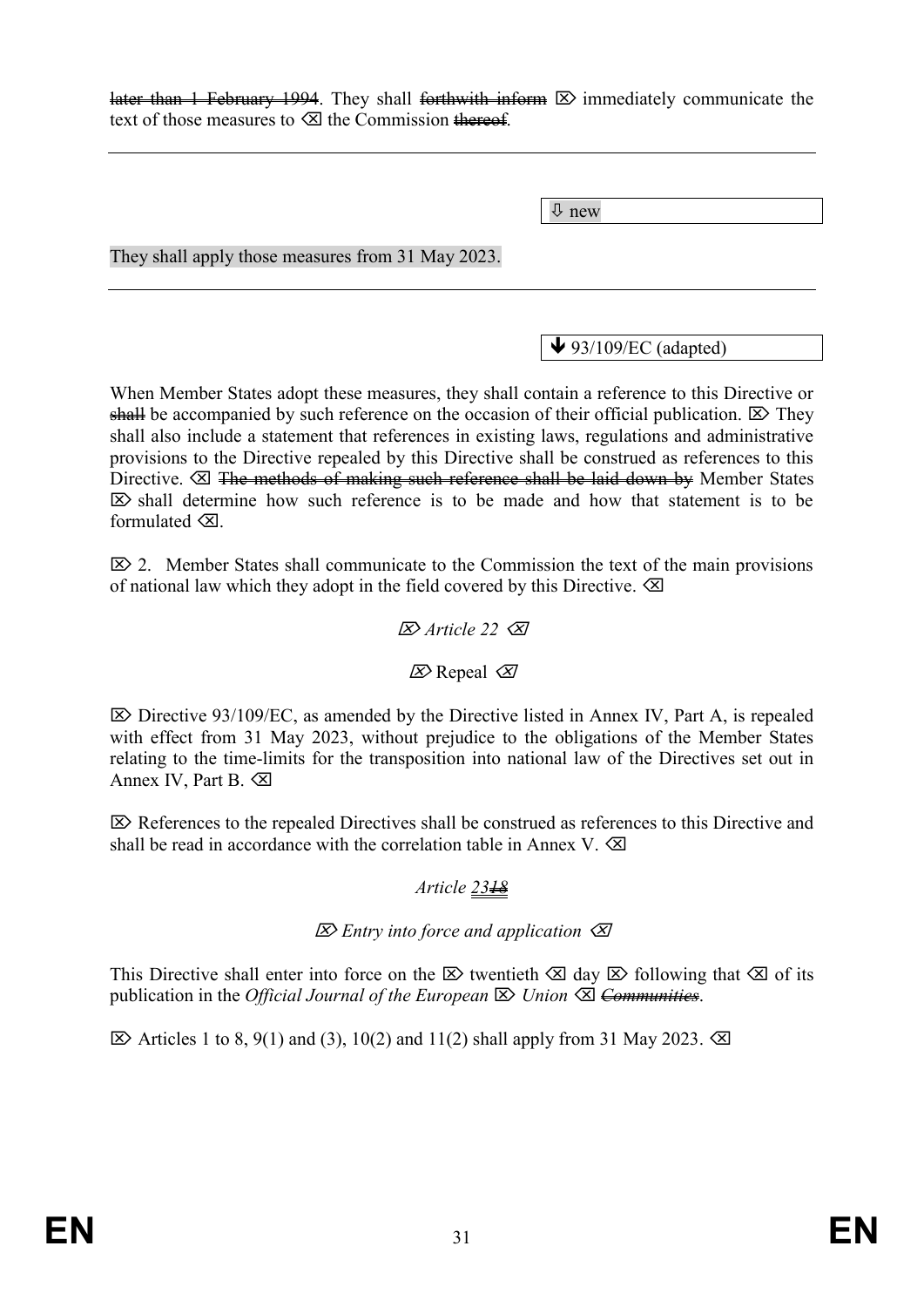later than 1 February 1994. They shall forthwith inform  $\boxtimes$  immediately communicate the text of those measures to  $\otimes$  the Commission thereof.

new

They shall apply those measures from 31 May 2023.

 $\blacktriangleright$  93/109/EC (adapted)

When Member States adopt these measures, they shall contain a reference to this Directive or shall be accompanied by such reference on the occasion of their official publication.  $\boxtimes$  They shall also include a statement that references in existing laws, regulations and administrative provisions to the Directive repealed by this Directive shall be construed as references to this Directive.  $\boxtimes$  The methods of making such reference shall be laid down by Member States  $\boxtimes$  shall determine how such reference is to be made and how that statement is to be formulated  $\otimes$ 

 $\mathbb{Z}$  2. Member States shall communicate to the Commission the text of the main provisions of national law which they adopt in the field covered by this Directive.  $\otimes$ 

#### $\overline{\mathcal{A}}$  Article 22  $\overline{\mathcal{A}}$

#### $\mathbb{Z}$  Repeal  $\mathbb{Z}$

 $\triangleright$  Directive 93/109/EC, as amended by the Directive listed in Annex IV, Part A, is repealed with effect from 31 May 2023, without prejudice to the obligations of the Member States relating to the time-limits for the transposition into national law of the Directives set out in Annex IV, Part B.

 $\boxtimes$  References to the repealed Directives shall be construed as references to this Directive and shall be read in accordance with the correlation table in Annex V.  $\otimes$ 

#### *Article 2318*

#### *Entry into force and application*

This Directive shall enter into force on the  $\boxtimes$  twentieth  $\boxtimes$  day  $\boxtimes$  following that  $\boxtimes$  of its publication in the *Official Journal of the European*  $\boxtimes$  *Union*  $\boxtimes$  <del>Communities</del>.

 $\boxtimes$  Articles 1 to 8, 9(1) and (3), 10(2) and 11(2) shall apply from 31 May 2023.  $\boxtimes$